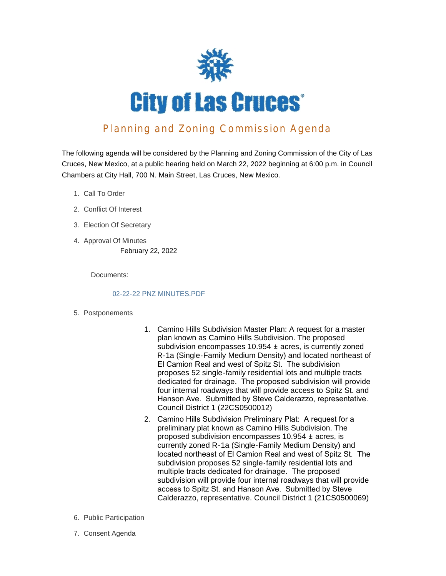

# Planning and Zoning Commission Agenda

The following agenda will be considered by the Planning and Zoning Commission of the City of Las Cruces, New Mexico, at a public hearing held on March 22, 2022 beginning at 6:00 p.m. in Council Chambers at City Hall, 700 N. Main Street, Las Cruces, New Mexico.

- 1. Call To Order
- 2. Conflict Of Interest
- Election Of Secretary 3.
- 4. Approval Of Minutes February 22, 2022

Documents:

#### 02-22-22 PNZ MINUTES.PDF

- 5. Postponements
- 1. Camino Hills Subdivision Master Plan: A request for a master plan known as Camino Hills Subdivision. The proposed subdivision encompasses 10.954 ± acres, is currently zoned R-1a (Single-Family Medium Density) and located northeast of El Camion Real and west of Spitz St. The subdivision proposes 52 single-family residential lots and multiple tracts dedicated for drainage. The proposed subdivision will provide four internal roadways that will provide access to Spitz St. and Hanson Ave. Submitted by Steve Calderazzo, representative. Council District 1 (22CS0500012)
- 2. Camino Hills Subdivision Preliminary Plat: A request for a preliminary plat known as Camino Hills Subdivision. The proposed subdivision encompasses 10.954 ± acres, is currently zoned R-1a (Single-Family Medium Density) and located northeast of El Camion Real and west of Spitz St. The subdivision proposes 52 single-family residential lots and multiple tracts dedicated for drainage. The proposed subdivision will provide four internal roadways that will provide access to Spitz St. and Hanson Ave. Submitted by Steve Calderazzo, representative. Council District 1 (21CS0500069)
- 6. Public Participation
- 7. Consent Agenda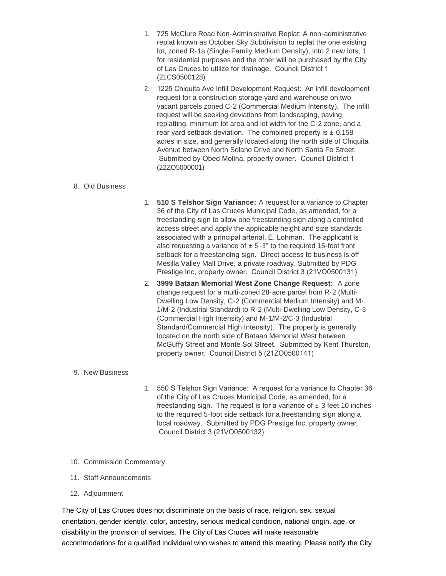- 1. 725 McClure Road Non-Administrative Replat: A non-administrative replat known as October Sky Subdivision to replat the one existing lot, zoned R-1a (Single-Family Medium Density), into 2 new lots, 1 for residential purposes and the other will be purchased by the City of Las Cruces to utilize for drainage. Council District 1 (21CS0500128)
- 2. 1225 Chiquita Ave Infill Development Request: An infill development request for a construction storage yard and warehouse on two vacant parcels zoned C-2 (Commercial Medium Intensity). The infill request will be seeking deviations from landscaping, paving, replatting, minimum lot area and lot width for the C-2 zone, and a rear yard setback deviation. The combined property is  $\pm$  0.158 acres in size, and generally located along the north side of Chiquita Avenue between North Solano Drive and North Santa Fe Street. Submitted by Obed Molina, property owner. Council District 1 (22ZO5000001)

#### Old Business 8.

- 1. **510 S Telshor Sign Variance:** A request for a variance to Chapter 36 of the City of Las Cruces Municipal Code, as amended, for a freestanding sign to allow one freestanding sign along a controlled access street and apply the applicable height and size standards associated with a principal arterial, E. Lohman. The applicant is also requesting a variance of  $\pm$  5'-3" to the required 15-foot front setback for a freestanding sign. Direct access to business is off Mesilla Valley Mall Drive, a private roadway. Submitted by PDG Prestige Inc, property owner. Council District 3 (21VO0500131)
- 2. **3999 Bataan Memorial West Zone Change Request:** A zone change request for a multi-zoned 28-acre parcel from R-2 (Multi-Dwelling Low Density, C-2 (Commercial Medium Intensity) and M-1/M-2 (Industrial Standard) to R-2 (Multi-Dwelling Low Density, C-3 (Commercial High Intensity) and M-1/M-2/C-3 (Industrial Standard/Commercial High Intensity). The property is generally located on the north side of Bataan Memorial West between McGuffy Street and Monte Sol Street. Submitted by Kent Thurston, property owner. Council District 5 (21ZO0500141)

### 9. New Business

- 1. 550 S Telshor Sign Variance: A request for a variance to Chapter 36 of the City of Las Cruces Municipal Code, as amended, for a freestanding sign. The request is for a variance of  $\pm$  3 feet 10 inches to the required 5-foot side setback for a freestanding sign along a local roadway. Submitted by PDG Prestige Inc, property owner. Council District 3 (21VO0500132)
- 10. Commission Commentary
- 11. Staff Announcements
- 12. Adjournment

The City of Las Cruces does not discriminate on the basis of race, religion, sex, sexual orientation, gender identity, color, ancestry, serious medical condition, national origin, age, or disability in the provision of services. The City of Las Cruces will make reasonable accommodations for a qualified individual who wishes to attend this meeting. Please notify the City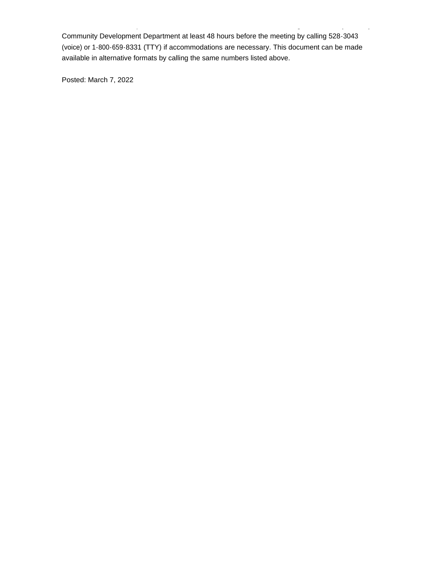Community Development Department at least 48 hours before the meeting by calling 528-3043 (voice) or 1-800-659-8331 (TTY) if accommodations are necessary. This document can be made available in alternative formats by calling the same numbers listed above.

accommodations for a qualified individual who wishes to attend this meeting. Please notify the City

Posted: March 7, 2022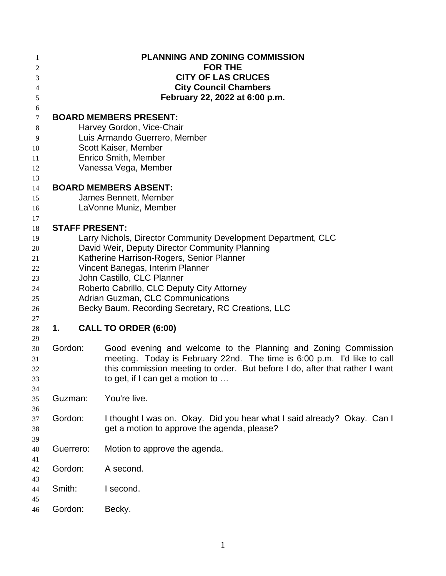| 1                   |                                            |  | <b>PLANNING AND ZONING COMMISSION</b>                                                  |
|---------------------|--------------------------------------------|--|----------------------------------------------------------------------------------------|
| 2                   |                                            |  | <b>FOR THE</b>                                                                         |
| 3                   |                                            |  | <b>CITY OF LAS CRUCES</b><br><b>City Council Chambers</b>                              |
| $\overline{4}$<br>5 |                                            |  | February 22, 2022 at 6:00 p.m.                                                         |
| 6                   |                                            |  |                                                                                        |
| $\tau$              |                                            |  | <b>BOARD MEMBERS PRESENT:</b>                                                          |
| $8\,$               |                                            |  | Harvey Gordon, Vice-Chair                                                              |
| 9                   |                                            |  | Luis Armando Guerrero, Member                                                          |
| 10                  |                                            |  | Scott Kaiser, Member                                                                   |
| 11                  |                                            |  | <b>Enrico Smith, Member</b>                                                            |
| 12                  |                                            |  | Vanessa Vega, Member                                                                   |
| 13                  |                                            |  |                                                                                        |
| 14                  |                                            |  | <b>BOARD MEMBERS ABSENT:</b>                                                           |
| 15                  |                                            |  | James Bennett, Member                                                                  |
| 16                  |                                            |  | LaVonne Muniz, Member                                                                  |
| 17                  |                                            |  |                                                                                        |
| 18                  |                                            |  | <b>STAFF PRESENT:</b><br>Larry Nichols, Director Community Development Department, CLC |
| 19<br>20            |                                            |  | David Weir, Deputy Director Community Planning                                         |
| 21                  |                                            |  | Katherine Harrison-Rogers, Senior Planner                                              |
| 22                  | Vincent Banegas, Interim Planner           |  |                                                                                        |
| 23                  | John Castillo, CLC Planner                 |  |                                                                                        |
| 24                  | Roberto Cabrillo, CLC Deputy City Attorney |  |                                                                                        |
| 25                  | Adrian Guzman, CLC Communications          |  |                                                                                        |
| 26                  |                                            |  | Becky Baum, Recording Secretary, RC Creations, LLC                                     |
| 27                  |                                            |  |                                                                                        |
| 28                  | 1.                                         |  | <b>CALL TO ORDER (6:00)</b>                                                            |
| 29                  |                                            |  |                                                                                        |
| 30                  | Gordon:                                    |  | Good evening and welcome to the Planning and Zoning Commission                         |
| 31                  |                                            |  | meeting. Today is February 22nd. The time is 6:00 p.m. I'd like to call                |
| 32                  |                                            |  | this commission meeting to order. But before I do, after that rather I want            |
| 33<br>34            |                                            |  | to get, if I can get a motion to                                                       |
| 35                  | Guzman:                                    |  | You're live.                                                                           |
| 36                  |                                            |  |                                                                                        |
| 37                  | Gordon:                                    |  | I thought I was on. Okay. Did you hear what I said already? Okay. Can I                |
| 38                  |                                            |  | get a motion to approve the agenda, please?                                            |
| 39                  |                                            |  |                                                                                        |
| 40                  | Guerrero:                                  |  | Motion to approve the agenda.                                                          |
| 41                  |                                            |  |                                                                                        |
| 42                  | Gordon:                                    |  | A second.                                                                              |
| 43                  |                                            |  |                                                                                        |
| 44                  | Smith:                                     |  | I second.                                                                              |
| 45                  |                                            |  |                                                                                        |
| 46                  | Gordon:                                    |  | Becky.                                                                                 |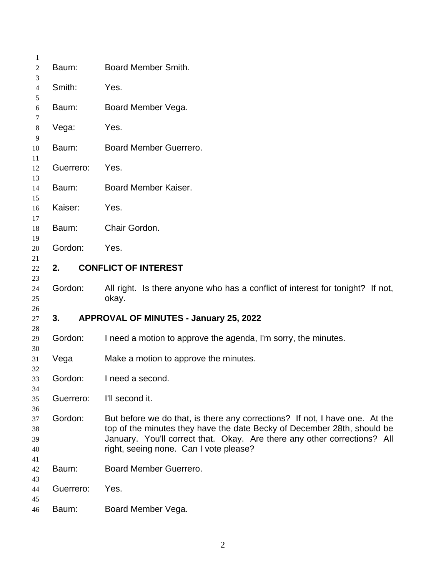| 1<br>2                           | Baum:     | Board Member Smith.                                                                                                                                                                                                                                                          |
|----------------------------------|-----------|------------------------------------------------------------------------------------------------------------------------------------------------------------------------------------------------------------------------------------------------------------------------------|
| 3<br>4                           | Smith:    | Yes.                                                                                                                                                                                                                                                                         |
| 5<br>6                           | Baum:     | Board Member Vega.                                                                                                                                                                                                                                                           |
| 7<br>8                           | Vega:     | Yes.                                                                                                                                                                                                                                                                         |
| 9<br>10                          | Baum:     | Board Member Guerrero.                                                                                                                                                                                                                                                       |
| 11<br>12                         | Guerrero: | Yes.                                                                                                                                                                                                                                                                         |
| 13<br>14                         | Baum:     | Board Member Kaiser.                                                                                                                                                                                                                                                         |
| 15<br>16                         | Kaiser:   | Yes.                                                                                                                                                                                                                                                                         |
| 17<br>18                         | Baum:     | Chair Gordon.                                                                                                                                                                                                                                                                |
| 19<br>20                         | Gordon:   | Yes.                                                                                                                                                                                                                                                                         |
| 21<br>22                         | 2.        | <b>CONFLICT OF INTEREST</b>                                                                                                                                                                                                                                                  |
| 23<br>24<br>25                   | Gordon:   | All right. Is there anyone who has a conflict of interest for tonight? If not,<br>okay.                                                                                                                                                                                      |
| 26<br>27                         | 3.        | <b>APPROVAL OF MINUTES - January 25, 2022</b>                                                                                                                                                                                                                                |
| 28<br>29                         | Gordon:   | I need a motion to approve the agenda, I'm sorry, the minutes.                                                                                                                                                                                                               |
| 30<br>31                         | Vega      | Make a motion to approve the minutes.                                                                                                                                                                                                                                        |
| 32<br>33                         | Gordon:   | I need a second.                                                                                                                                                                                                                                                             |
| 34<br>35                         | Guerrero: | I'll second it.                                                                                                                                                                                                                                                              |
| 36<br>37<br>38<br>39<br>40<br>41 | Gordon:   | But before we do that, is there any corrections? If not, I have one. At the<br>top of the minutes they have the date Becky of December 28th, should be<br>January. You'll correct that. Okay. Are there any other corrections? All<br>right, seeing none. Can I vote please? |
| 42                               | Baum:     | Board Member Guerrero.                                                                                                                                                                                                                                                       |
| 43<br>44                         | Guerrero: | Yes.                                                                                                                                                                                                                                                                         |
| 45<br>46                         | Baum:     | Board Member Vega.                                                                                                                                                                                                                                                           |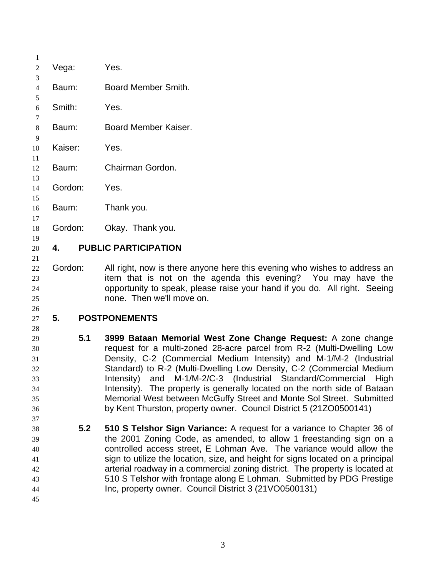| 1                                                  |         |                                                                                                                                                                                                                                                                                                                                                                                                                                                                                                                                                                                   |
|----------------------------------------------------|---------|-----------------------------------------------------------------------------------------------------------------------------------------------------------------------------------------------------------------------------------------------------------------------------------------------------------------------------------------------------------------------------------------------------------------------------------------------------------------------------------------------------------------------------------------------------------------------------------|
| $\overline{c}$                                     | Vega:   | Yes.                                                                                                                                                                                                                                                                                                                                                                                                                                                                                                                                                                              |
| 3<br>$\overline{4}$                                | Baum:   | Board Member Smith.                                                                                                                                                                                                                                                                                                                                                                                                                                                                                                                                                               |
| 5<br>6                                             | Smith:  | Yes.                                                                                                                                                                                                                                                                                                                                                                                                                                                                                                                                                                              |
| 7<br>8                                             | Baum:   | Board Member Kaiser.                                                                                                                                                                                                                                                                                                                                                                                                                                                                                                                                                              |
| 9<br>10                                            | Kaiser: | Yes.                                                                                                                                                                                                                                                                                                                                                                                                                                                                                                                                                                              |
| 11<br>12                                           | Baum:   | Chairman Gordon.                                                                                                                                                                                                                                                                                                                                                                                                                                                                                                                                                                  |
| 13<br>14                                           | Gordon: | Yes.                                                                                                                                                                                                                                                                                                                                                                                                                                                                                                                                                                              |
| 15<br>16                                           | Baum:   | Thank you.                                                                                                                                                                                                                                                                                                                                                                                                                                                                                                                                                                        |
| 17<br>18                                           | Gordon: | Okay. Thank you.                                                                                                                                                                                                                                                                                                                                                                                                                                                                                                                                                                  |
| 19<br>20                                           | 4.      | <b>PUBLIC PARTICIPATION</b>                                                                                                                                                                                                                                                                                                                                                                                                                                                                                                                                                       |
| 21<br>22<br>23<br>24<br>25                         | Gordon: | All right, now is there anyone here this evening who wishes to address an<br>item that is not on the agenda this evening? You may have the<br>opportunity to speak, please raise your hand if you do. All right. Seeing<br>none. Then we'll move on.                                                                                                                                                                                                                                                                                                                              |
| 26<br>27                                           | 5.      | <b>POSTPONEMENTS</b>                                                                                                                                                                                                                                                                                                                                                                                                                                                                                                                                                              |
| 28<br>29<br>30<br>31<br>32<br>33<br>34<br>35<br>36 | 5.1     | 3999 Bataan Memorial West Zone Change Request: A zone change<br>request for a multi-zoned 28-acre parcel from R-2 (Multi-Dwelling Low<br>Density, C-2 (Commercial Medium Intensity) and M-1/M-2 (Industrial<br>Standard) to R-2 (Multi-Dwelling Low Density, C-2 (Commercial Medium<br>Intensity) and M-1/M-2/C-3 (Industrial Standard/Commercial High<br>Intensity). The property is generally located on the north side of Bataan<br>Memorial West between McGuffy Street and Monte Sol Street. Submitted<br>by Kent Thurston, property owner. Council District 5 (21ZO0500141) |
| 37<br>38<br>39<br>40<br>41<br>42<br>43<br>44<br>45 | 5.2     | 510 S Telshor Sign Variance: A request for a variance to Chapter 36 of<br>the 2001 Zoning Code, as amended, to allow 1 freestanding sign on a<br>controlled access street, E Lohman Ave. The variance would allow the<br>sign to utilize the location, size, and height for signs located on a principal<br>arterial roadway in a commercial zoning district. The property is located at<br>510 S Telshor with frontage along E Lohman. Submitted by PDG Prestige<br>Inc, property owner. Council District 3 (21VO0500131)                                                        |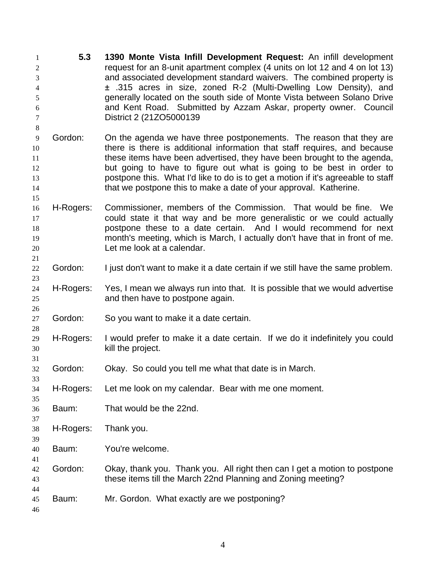| 1<br>$\overline{c}$<br>3<br>4<br>5<br>6<br>7    | 5.3       | 1390 Monte Vista Infill Development Request: An infill development<br>request for an 8-unit apartment complex (4 units on lot 12 and 4 on lot 13)<br>and associated development standard waivers. The combined property is<br>± .315 acres in size, zoned R-2 (Multi-Dwelling Low Density), and<br>generally located on the south side of Monte Vista between Solano Drive<br>and Kent Road. Submitted by Azzam Askar, property owner. Council<br>District 2 (21ZO5000139) |
|-------------------------------------------------|-----------|----------------------------------------------------------------------------------------------------------------------------------------------------------------------------------------------------------------------------------------------------------------------------------------------------------------------------------------------------------------------------------------------------------------------------------------------------------------------------|
| 8<br>$\mathbf{9}$<br>10<br>11<br>12<br>13<br>14 | Gordon:   | On the agenda we have three postponements. The reason that they are<br>there is there is additional information that staff requires, and because<br>these items have been advertised, they have been brought to the agenda,<br>but going to have to figure out what is going to be best in order to<br>postpone this. What I'd like to do is to get a motion if it's agreeable to staff<br>that we postpone this to make a date of your approval. Katherine.               |
| 15<br>16<br>17<br>18<br>19<br>20                | H-Rogers: | Commissioner, members of the Commission. That would be fine. We<br>could state it that way and be more generalistic or we could actually<br>postpone these to a date certain. And I would recommend for next<br>month's meeting, which is March, I actually don't have that in front of me.<br>Let me look at a calendar.                                                                                                                                                  |
| 21<br>$22\,$                                    | Gordon:   | I just don't want to make it a date certain if we still have the same problem.                                                                                                                                                                                                                                                                                                                                                                                             |
| 23<br>24<br>25                                  | H-Rogers: | Yes, I mean we always run into that. It is possible that we would advertise<br>and then have to postpone again.                                                                                                                                                                                                                                                                                                                                                            |
| 26<br>27                                        | Gordon:   | So you want to make it a date certain.                                                                                                                                                                                                                                                                                                                                                                                                                                     |
| 28<br>29<br>30                                  | H-Rogers: | I would prefer to make it a date certain. If we do it indefinitely you could<br>kill the project.                                                                                                                                                                                                                                                                                                                                                                          |
| 31<br>32<br>33                                  | Gordon:   | Okay. So could you tell me what that date is in March.                                                                                                                                                                                                                                                                                                                                                                                                                     |
| 34<br>35                                        | H-Rogers: | Let me look on my calendar. Bear with me one moment.                                                                                                                                                                                                                                                                                                                                                                                                                       |
| 36<br>37                                        | Baum:     | That would be the 22nd.                                                                                                                                                                                                                                                                                                                                                                                                                                                    |
| 38<br>39                                        | H-Rogers: | Thank you.                                                                                                                                                                                                                                                                                                                                                                                                                                                                 |
| 40<br>41                                        | Baum:     | You're welcome.                                                                                                                                                                                                                                                                                                                                                                                                                                                            |
| 42<br>43                                        | Gordon:   | Okay, thank you. Thank you. All right then can I get a motion to postpone<br>these items till the March 22nd Planning and Zoning meeting?                                                                                                                                                                                                                                                                                                                                  |
| 44<br>45<br>46                                  | Baum:     | Mr. Gordon. What exactly are we postponing?                                                                                                                                                                                                                                                                                                                                                                                                                                |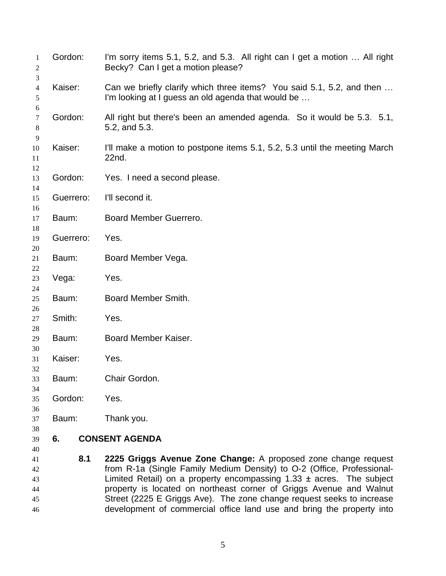| 1<br>2                     | Gordon:   | I'm sorry items 5.1, 5.2, and 5.3. All right can I get a motion  All right<br>Becky? Can I get a motion please?                                                                                                                                                                                                                                                                          |
|----------------------------|-----------|------------------------------------------------------------------------------------------------------------------------------------------------------------------------------------------------------------------------------------------------------------------------------------------------------------------------------------------------------------------------------------------|
| 3<br>4<br>5                | Kaiser:   | Can we briefly clarify which three items? You said 5.1, 5.2, and then<br>I'm looking at I guess an old agenda that would be                                                                                                                                                                                                                                                              |
| 6<br>7<br>$8\,$            | Gordon:   | All right but there's been an amended agenda. So it would be 5.3. 5.1,<br>5.2, and 5.3.                                                                                                                                                                                                                                                                                                  |
| 9<br>10<br>11              | Kaiser:   | I'll make a motion to postpone items 5.1, 5.2, 5.3 until the meeting March<br>22nd.                                                                                                                                                                                                                                                                                                      |
| 12<br>13                   | Gordon:   | Yes. I need a second please.                                                                                                                                                                                                                                                                                                                                                             |
| 14<br>15                   | Guerrero: | I'll second it.                                                                                                                                                                                                                                                                                                                                                                          |
| 16<br>17                   | Baum:     | Board Member Guerrero.                                                                                                                                                                                                                                                                                                                                                                   |
| 18<br>19                   | Guerrero: | Yes.                                                                                                                                                                                                                                                                                                                                                                                     |
| 20<br>21                   | Baum:     | Board Member Vega.                                                                                                                                                                                                                                                                                                                                                                       |
| 22<br>23                   | Vega:     | Yes.                                                                                                                                                                                                                                                                                                                                                                                     |
| 24<br>25                   | Baum:     | Board Member Smith.                                                                                                                                                                                                                                                                                                                                                                      |
| 26<br>27                   | Smith:    | Yes.                                                                                                                                                                                                                                                                                                                                                                                     |
| 28<br>29                   | Baum:     | Board Member Kaiser.                                                                                                                                                                                                                                                                                                                                                                     |
| 30<br>31                   | Kaiser:   | Yes.                                                                                                                                                                                                                                                                                                                                                                                     |
| 32<br>33                   | Baum:     | Chair Gordon.                                                                                                                                                                                                                                                                                                                                                                            |
| 34<br>35                   | Gordon:   | Yes.                                                                                                                                                                                                                                                                                                                                                                                     |
| 36<br>37                   | Baum:     | Thank you.                                                                                                                                                                                                                                                                                                                                                                               |
| 38<br>39                   | 6.        | <b>CONSENT AGENDA</b>                                                                                                                                                                                                                                                                                                                                                                    |
| 40<br>41<br>42<br>43<br>44 | 8.1       | 2225 Griggs Avenue Zone Change: A proposed zone change request<br>from R-1a (Single Family Medium Density) to O-2 (Office, Professional-<br>Limited Retail) on a property encompassing $1.33 \pm \text{ acres}$ . The subject<br>property is located on northeast corner of Griggs Avenue and Walnut<br>$P$ treat (2225 $E$ $P$ riage $A$ ue) The zene ebenge request eaglie to inercese |

 Street (2225 E Griggs Ave). The zone change request seeks to increase development of commercial office land use and bring the property into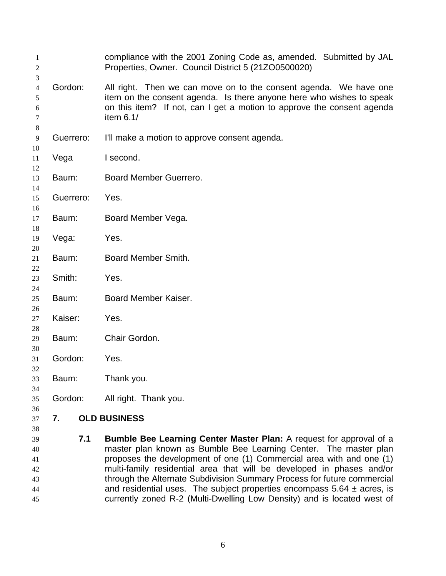| 1<br>$\overline{c}$   |           | compliance with the 2001 Zoning Code as, amended. Submitted by JAL<br>Properties, Owner. Council District 5 (21ZO0500020)                                                                                                          |
|-----------------------|-----------|------------------------------------------------------------------------------------------------------------------------------------------------------------------------------------------------------------------------------------|
| 3<br>4<br>5<br>6<br>7 | Gordon:   | All right. Then we can move on to the consent agenda. We have one<br>item on the consent agenda. Is there anyone here who wishes to speak<br>on this item? If not, can I get a motion to approve the consent agenda<br>item $6.1/$ |
| 8<br>9                | Guerrero: | I'll make a motion to approve consent agenda.                                                                                                                                                                                      |
| 10<br>11<br>12        | Vega      | I second.                                                                                                                                                                                                                          |
| 13<br>14              | Baum:     | Board Member Guerrero.                                                                                                                                                                                                             |
| 15<br>16              | Guerrero: | Yes.                                                                                                                                                                                                                               |
| 17<br>18              | Baum:     | Board Member Vega.                                                                                                                                                                                                                 |
| 19<br>20              | Vega:     | Yes.                                                                                                                                                                                                                               |
| 21<br>22              | Baum:     | Board Member Smith.                                                                                                                                                                                                                |
| 23<br>24              | Smith:    | Yes.                                                                                                                                                                                                                               |
| 25<br>26              | Baum:     | Board Member Kaiser.                                                                                                                                                                                                               |
| 27<br>28              | Kaiser:   | Yes.                                                                                                                                                                                                                               |
| 29<br>30              | Baum:     | Chair Gordon.                                                                                                                                                                                                                      |
| 31<br>32              | Gordon:   | Yes.                                                                                                                                                                                                                               |
| 33<br>34              | Baum:     | Thank you.                                                                                                                                                                                                                         |
| 35<br>36              | Gordon:   | All right. Thank you.                                                                                                                                                                                                              |
| 37<br>38              | 7.        | <b>OLD BUSINESS</b>                                                                                                                                                                                                                |

 **7.1 Bumble Bee Learning Center Master Plan:** A request for approval of a master plan known as Bumble Bee Learning Center. The master plan proposes the development of one (1) Commercial area with and one (1) multi-family residential area that will be developed in phases and/or through the Alternate Subdivision Summary Process for future commercial and residential uses. The subject properties encompass 5.64 ± acres, is currently zoned R-2 (Multi-Dwelling Low Density) and is located west of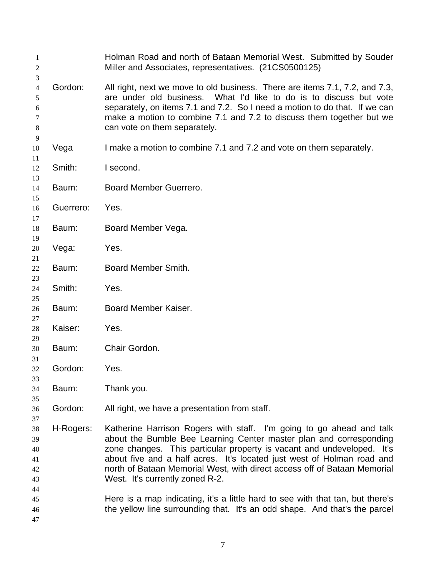| -1<br>$\overline{2}$                         |           | Holman Road and north of Bataan Memorial West. Submitted by Souder<br>Miller and Associates, representatives. (21CS0500125)                                                                                                                                                                                                                                                                                                                                                                     |
|----------------------------------------------|-----------|-------------------------------------------------------------------------------------------------------------------------------------------------------------------------------------------------------------------------------------------------------------------------------------------------------------------------------------------------------------------------------------------------------------------------------------------------------------------------------------------------|
| 3<br>$\overline{4}$<br>5<br>6<br>7<br>8<br>9 | Gordon:   | All right, next we move to old business. There are items 7.1, 7.2, and 7.3,<br>are under old business. What I'd like to do is to discuss but vote<br>separately, on items 7.1 and 7.2. So I need a motion to do that. If we can<br>make a motion to combine 7.1 and 7.2 to discuss them together but we<br>can vote on them separately.                                                                                                                                                         |
| 10<br>11                                     | Vega      | I make a motion to combine 7.1 and 7.2 and vote on them separately.                                                                                                                                                                                                                                                                                                                                                                                                                             |
| 12<br>13                                     | Smith:    | I second.                                                                                                                                                                                                                                                                                                                                                                                                                                                                                       |
| 14<br>15                                     | Baum:     | Board Member Guerrero.                                                                                                                                                                                                                                                                                                                                                                                                                                                                          |
| 16<br>17                                     | Guerrero: | Yes.                                                                                                                                                                                                                                                                                                                                                                                                                                                                                            |
| 18<br>19                                     | Baum:     | Board Member Vega.                                                                                                                                                                                                                                                                                                                                                                                                                                                                              |
| 20<br>21                                     | Vega:     | Yes.                                                                                                                                                                                                                                                                                                                                                                                                                                                                                            |
| 22<br>23                                     | Baum:     | Board Member Smith.                                                                                                                                                                                                                                                                                                                                                                                                                                                                             |
| 24<br>25                                     | Smith:    | Yes.                                                                                                                                                                                                                                                                                                                                                                                                                                                                                            |
| 26<br>27                                     | Baum:     | Board Member Kaiser.                                                                                                                                                                                                                                                                                                                                                                                                                                                                            |
| 28<br>29                                     | Kaiser:   | Yes.                                                                                                                                                                                                                                                                                                                                                                                                                                                                                            |
| 30<br>31                                     | Baum:     | Chair Gordon.                                                                                                                                                                                                                                                                                                                                                                                                                                                                                   |
| 32<br>33                                     | Gordon:   | Yes.                                                                                                                                                                                                                                                                                                                                                                                                                                                                                            |
| 34<br>35                                     | Baum:     | Thank you.                                                                                                                                                                                                                                                                                                                                                                                                                                                                                      |
| 36<br>37                                     | Gordon:   | All right, we have a presentation from staff.                                                                                                                                                                                                                                                                                                                                                                                                                                                   |
| 38<br>39<br>40<br>41<br>42<br>43<br>44<br>45 | H-Rogers: | Katherine Harrison Rogers with staff. I'm going to go ahead and talk<br>about the Bumble Bee Learning Center master plan and corresponding<br>zone changes. This particular property is vacant and undeveloped. It's<br>about five and a half acres. It's located just west of Holman road and<br>north of Bataan Memorial West, with direct access off of Bataan Memorial<br>West. It's currently zoned R-2.<br>Here is a map indicating, it's a little hard to see with that tan, but there's |
| 46<br>47                                     |           | the yellow line surrounding that. It's an odd shape. And that's the parcel                                                                                                                                                                                                                                                                                                                                                                                                                      |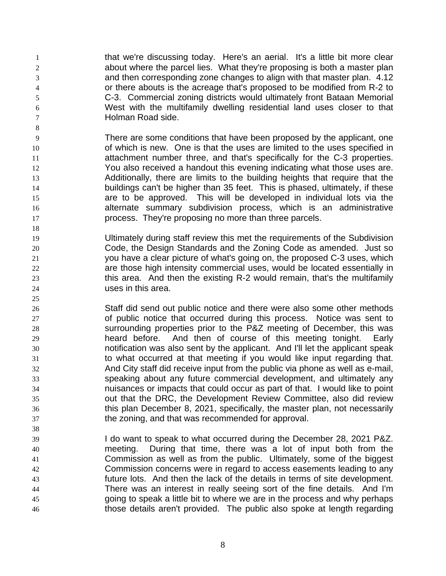that we're discussing today. Here's an aerial. It's a little bit more clear about where the parcel lies. What they're proposing is both a master plan and then corresponding zone changes to align with that master plan. 4.12 or there abouts is the acreage that's proposed to be modified from R-2 to C-3. Commercial zoning districts would ultimately front Bataan Memorial West with the multifamily dwelling residential land uses closer to that Holman Road side.

- There are some conditions that have been proposed by the applicant, one 10 10 of which is new. One is that the uses are limited to the uses specified in 11 attachment number three, and that's specifically for the C-3 properties. You also received a handout this evening indicating what those uses are. Additionally, there are limits to the building heights that require that the buildings can't be higher than 35 feet. This is phased, ultimately, if these are to be approved. This will be developed in individual lots via the alternate summary subdivision process, which is an administrative process. They're proposing no more than three parcels.
- Ultimately during staff review this met the requirements of the Subdivision Code, the Design Standards and the Zoning Code as amended. Just so you have a clear picture of what's going on, the proposed C-3 uses, which are those high intensity commercial uses, would be located essentially in this area. And then the existing R-2 would remain, that's the multifamily uses in this area.
- Staff did send out public notice and there were also some other methods of public notice that occurred during this process. Notice was sent to surrounding properties prior to the P&Z meeting of December, this was heard before. And then of course of this meeting tonight. Early notification was also sent by the applicant. And I'll let the applicant speak to what occurred at that meeting if you would like input regarding that. And City staff did receive input from the public via phone as well as e-mail, speaking about any future commercial development, and ultimately any nuisances or impacts that could occur as part of that. I would like to point out that the DRC, the Development Review Committee, also did review this plan December 8, 2021, specifically, the master plan, not necessarily the zoning, and that was recommended for approval.
- I do want to speak to what occurred during the December 28, 2021 P&Z. meeting. During that time, there was a lot of input both from the Commission as well as from the public. Ultimately, some of the biggest Commission concerns were in regard to access easements leading to any future lots. And then the lack of the details in terms of site development. There was an interest in really seeing sort of the fine details. And I'm going to speak a little bit to where we are in the process and why perhaps those details aren't provided. The public also spoke at length regarding
	-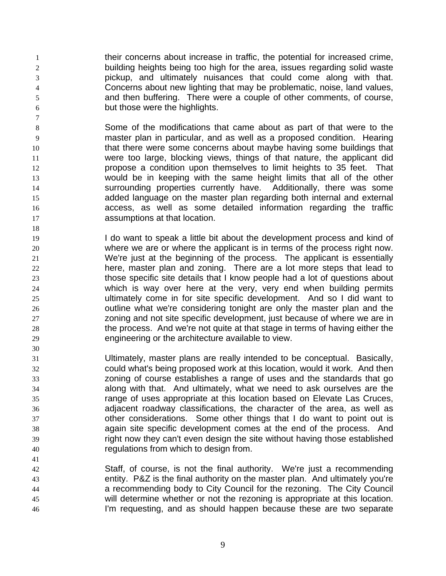their concerns about increase in traffic, the potential for increased crime, building heights being too high for the area, issues regarding solid waste pickup, and ultimately nuisances that could come along with that. Concerns about new lighting that may be problematic, noise, land values, and then buffering. There were a couple of other comments, of course, but those were the highlights.

- Some of the modifications that came about as part of that were to the master plan in particular, and as well as a proposed condition. Hearing 10 that there were some concerns about maybe having some buildings that were too large, blocking views, things of that nature, the applicant did **propose a condition upon themselves to limit heights to 35 feet.** That would be in keeping with the same height limits that all of the other surrounding properties currently have. Additionally, there was some added language on the master plan regarding both internal and external access, as well as some detailed information regarding the traffic assumptions at that location.
- **I** do want to speak a little bit about the development process and kind of where we are or where the applicant is in terms of the process right now. We're just at the beginning of the process. The applicant is essentially here, master plan and zoning. There are a lot more steps that lead to those specific site details that I know people had a lot of questions about which is way over here at the very, very end when building permits ultimately come in for site specific development. And so I did want to outline what we're considering tonight are only the master plan and the zoning and not site specific development, just because of where we are in the process. And we're not quite at that stage in terms of having either the engineering or the architecture available to view.
- Ultimately, master plans are really intended to be conceptual. Basically, could what's being proposed work at this location, would it work. And then zoning of course establishes a range of uses and the standards that go along with that. And ultimately, what we need to ask ourselves are the range of uses appropriate at this location based on Elevate Las Cruces, adjacent roadway classifications, the character of the area, as well as other considerations. Some other things that I do want to point out is again site specific development comes at the end of the process. And right now they can't even design the site without having those established regulations from which to design from.
- Staff, of course, is not the final authority. We're just a recommending entity. P&Z is the final authority on the master plan. And ultimately you're a recommending body to City Council for the rezoning. The City Council will determine whether or not the rezoning is appropriate at this location. I'm requesting, and as should happen because these are two separate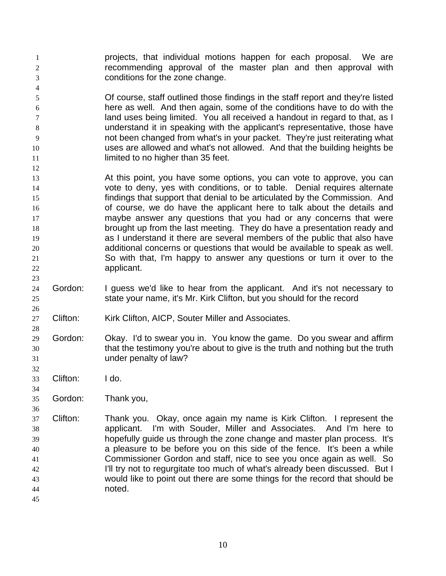- projects, that individual motions happen for each proposal. We are recommending approval of the master plan and then approval with conditions for the zone change.
- Of course, staff outlined those findings in the staff report and they're listed here as well. And then again, some of the conditions have to do with the land uses being limited. You all received a handout in regard to that, as I understand it in speaking with the applicant's representative, those have not been changed from what's in your packet. They're just reiterating what uses are allowed and what's not allowed. And that the building heights be **limited to no higher than 35 feet.**
- At this point, you have some options, you can vote to approve, you can vote to deny, yes with conditions, or to table. Denial requires alternate findings that support that denial to be articulated by the Commission. And 16 16 of course, we do have the applicant here to talk about the details and maybe answer any questions that you had or any concerns that were brought up from the last meeting. They do have a presentation ready and as I understand it there are several members of the public that also have additional concerns or questions that would be available to speak as well. So with that, I'm happy to answer any questions or turn it over to the applicant.
- Gordon: I guess we'd like to hear from the applicant. And it's not necessary to state your name, it's Mr. Kirk Clifton, but you should for the record
- Clifton: Kirk Clifton, AICP, Souter Miller and Associates.
- Gordon: Okay. I'd to swear you in. You know the game. Do you swear and affirm that the testimony you're about to give is the truth and nothing but the truth under penalty of law?
- Clifton: I do.

- Gordon: Thank you,
- Clifton: Thank you. Okay, once again my name is Kirk Clifton. I represent the applicant. I'm with Souder, Miller and Associates. And I'm here to hopefully guide us through the zone change and master plan process. It's a pleasure to be before you on this side of the fence. It's been a while Commissioner Gordon and staff, nice to see you once again as well. So 42 I'll try not to regurgitate too much of what's already been discussed. But I would like to point out there are some things for the record that should be noted.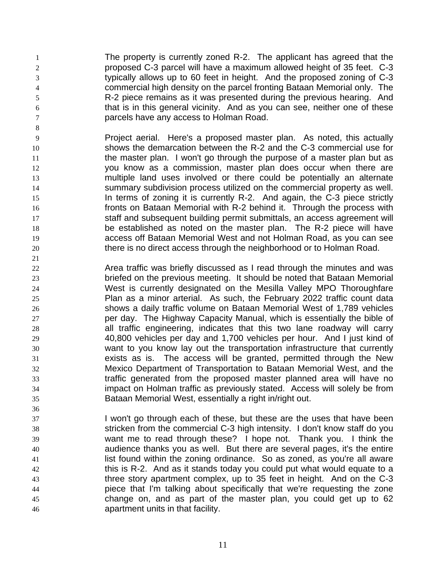The property is currently zoned R-2. The applicant has agreed that the proposed C-3 parcel will have a maximum allowed height of 35 feet. C-3 typically allows up to 60 feet in height. And the proposed zoning of C-3 commercial high density on the parcel fronting Bataan Memorial only. The R-2 piece remains as it was presented during the previous hearing. And that is in this general vicinity. And as you can see, neither one of these parcels have any access to Holman Road.

- Project aerial. Here's a proposed master plan. As noted, this actually shows the demarcation between the R-2 and the C-3 commercial use for 11 the master plan. I won't go through the purpose of a master plan but as you know as a commission, master plan does occur when there are multiple land uses involved or there could be potentially an alternate summary subdivision process utilized on the commercial property as well. In terms of zoning it is currently R-2. And again, the C-3 piece strictly fronts on Bataan Memorial with R-2 behind it. Through the process with staff and subsequent building permit submittals, an access agreement will be established as noted on the master plan. The R-2 piece will have access off Bataan Memorial West and not Holman Road, as you can see there is no direct access through the neighborhood or to Holman Road.
- Area traffic was briefly discussed as I read through the minutes and was briefed on the previous meeting. It should be noted that Bataan Memorial West is currently designated on the Mesilla Valley MPO Thoroughfare Plan as a minor arterial. As such, the February 2022 traffic count data shows a daily traffic volume on Bataan Memorial West of 1,789 vehicles per day. The Highway Capacity Manual, which is essentially the bible of all traffic engineering, indicates that this two lane roadway will carry 40,800 vehicles per day and 1,700 vehicles per hour. And I just kind of want to you know lay out the transportation infrastructure that currently exists as is. The access will be granted, permitted through the New Mexico Department of Transportation to Bataan Memorial West, and the traffic generated from the proposed master planned area will have no impact on Holman traffic as previously stated. Access will solely be from Bataan Memorial West, essentially a right in/right out.
- I won't go through each of these, but these are the uses that have been stricken from the commercial C-3 high intensity. I don't know staff do you want me to read through these? I hope not. Thank you. I think the audience thanks you as well. But there are several pages, it's the entire **instituted in the zoning ordinance.** So as zoned, as you're all aware this is R-2. And as it stands today you could put what would equate to a three story apartment complex, up to 35 feet in height. And on the C-3 piece that I'm talking about specifically that we're requesting the zone change on, and as part of the master plan, you could get up to 62 apartment units in that facility.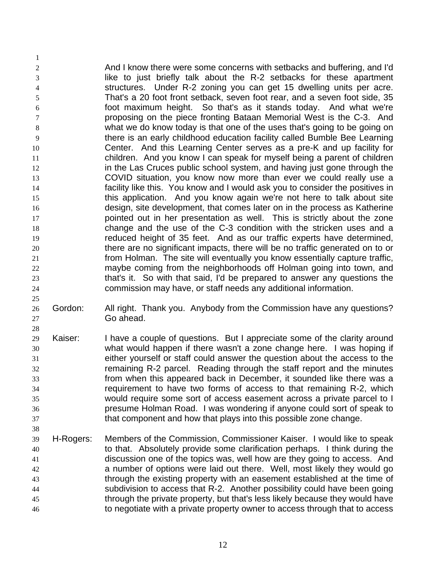2 And I know there were some concerns with setbacks and buffering, and I'd like to just briefly talk about the R-2 setbacks for these apartment structures. Under R-2 zoning you can get 15 dwelling units per acre. That's a 20 foot front setback, seven foot rear, and a seven foot side, 35 foot maximum height. So that's as it stands today. And what we're proposing on the piece fronting Bataan Memorial West is the C-3. And what we do know today is that one of the uses that's going to be going on there is an early childhood education facility called Bumble Bee Learning Center. And this Learning Center serves as a pre-K and up facility for children. And you know I can speak for myself being a parent of children **in the Las Cruces public school system, and having just gone through the**  COVID situation, you know now more than ever we could really use a facility like this. You know and I would ask you to consider the positives in this application. And you know again we're not here to talk about site design, site development, that comes later on in the process as Katherine **pointed out in her presentation as well.** This is strictly about the zone change and the use of the C-3 condition with the stricken uses and a reduced height of 35 feet. And as our traffic experts have determined, there are no significant impacts, there will be no traffic generated on to or from Holman. The site will eventually you know essentially capture traffic, maybe coming from the neighborhoods off Holman going into town, and that's it. So with that said, I'd be prepared to answer any questions the commission may have, or staff needs any additional information.

26 Gordon: All right. Thank you. Anybody from the Commission have any questions? Go ahead.

- Kaiser: I have a couple of questions. But I appreciate some of the clarity around what would happen if there wasn't a zone change here. I was hoping if either yourself or staff could answer the question about the access to the remaining R-2 parcel. Reading through the staff report and the minutes from when this appeared back in December, it sounded like there was a requirement to have two forms of access to that remaining R-2, which would require some sort of access easement across a private parcel to I presume Holman Road. I was wondering if anyone could sort of speak to that component and how that plays into this possible zone change.
- H-Rogers: Members of the Commission, Commissioner Kaiser. I would like to speak to that. Absolutely provide some clarification perhaps. I think during the discussion one of the topics was, well how are they going to access. And a number of options were laid out there. Well, most likely they would go through the existing property with an easement established at the time of subdivision to access that R-2. Another possibility could have been going through the private property, but that's less likely because they would have to negotiate with a private property owner to access through that to access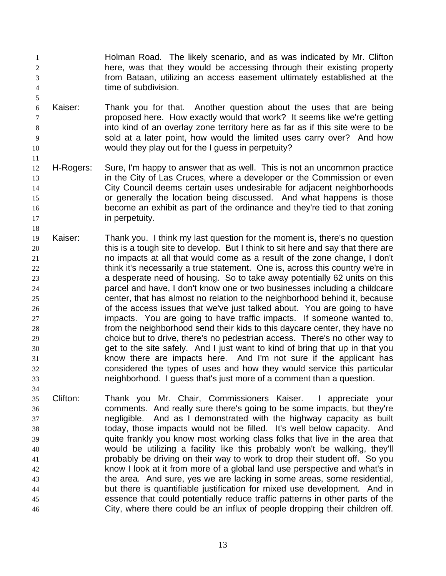- Holman Road. The likely scenario, and as was indicated by Mr. Clifton here, was that they would be accessing through their existing property from Bataan, utilizing an access easement ultimately established at the time of subdivision.
- Kaiser: Thank you for that. Another question about the uses that are being proposed here. How exactly would that work? It seems like we're getting into kind of an overlay zone territory here as far as if this site were to be sold at a later point, how would the limited uses carry over? And how would they play out for the I guess in perpetuity?

- H-Rogers: Sure, I'm happy to answer that as well. This is not an uncommon practice in the City of Las Cruces, where a developer or the Commission or even City Council deems certain uses undesirable for adjacent neighborhoods or generally the location being discussed. And what happens is those become an exhibit as part of the ordinance and they're tied to that zoning **in perpetuity.**
- Kaiser: Thank you. I think my last question for the moment is, there's no question 20 this is a tough site to develop. But I think to sit here and say that there are no impacts at all that would come as a result of the zone change, I don't 22 think it's necessarily a true statement. One is, across this country we're in a desperate need of housing. So to take away potentially 62 units on this parcel and have, I don't know one or two businesses including a childcare center, that has almost no relation to the neighborhood behind it, because of the access issues that we've just talked about. You are going to have impacts. You are going to have traffic impacts. If someone wanted to, from the neighborhood send their kids to this daycare center, they have no choice but to drive, there's no pedestrian access. There's no other way to get to the site safely. And I just want to kind of bring that up in that you know there are impacts here. And I'm not sure if the applicant has considered the types of uses and how they would service this particular neighborhood. I guess that's just more of a comment than a question.
- Clifton: Thank you Mr. Chair, Commissioners Kaiser. I appreciate your comments. And really sure there's going to be some impacts, but they're negligible. And as I demonstrated with the highway capacity as built today, those impacts would not be filled. It's well below capacity. And quite frankly you know most working class folks that live in the area that would be utilizing a facility like this probably won't be walking, they'll probably be driving on their way to work to drop their student off. So you know I look at it from more of a global land use perspective and what's in the area. And sure, yes we are lacking in some areas, some residential, but there is quantifiable justification for mixed use development. And in essence that could potentially reduce traffic patterns in other parts of the City, where there could be an influx of people dropping their children off.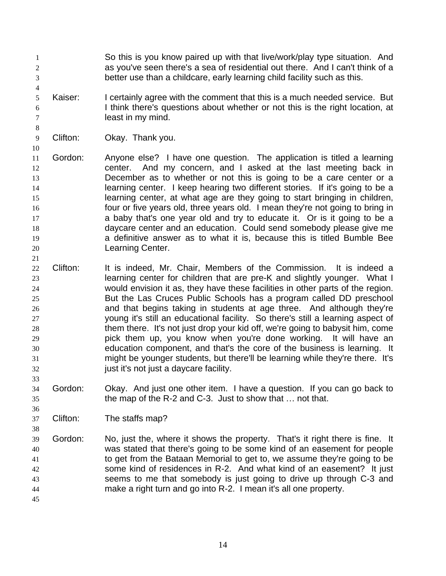So this is you know paired up with that live/work/play type situation. And as you've seen there's a sea of residential out there. And I can't think of a better use than a childcare, early learning child facility such as this.

- Kaiser: I certainly agree with the comment that this is a much needed service. But I think there's questions about whether or not this is the right location, at least in my mind.
- Clifton: Okay. Thank you.

 Gordon: Anyone else? I have one question. The application is titled a learning 12 center. And my concern, and I asked at the last meeting back in December as to whether or not this is going to be a care center or a learning center. I keep hearing two different stories. If it's going to be a learning center, at what age are they going to start bringing in children, four or five years old, three years old. I mean they're not going to bring in **a** baby that's one year old and try to educate it. Or is it going to be a daycare center and an education. Could send somebody please give me a definitive answer as to what it is, because this is titled Bumble Bee Learning Center.

- Clifton: It is indeed, Mr. Chair, Members of the Commission. It is indeed a learning center for children that are pre-K and slightly younger. What I would envision it as, they have these facilities in other parts of the region. But the Las Cruces Public Schools has a program called DD preschool and that begins taking in students at age three. And although they're young it's still an educational facility. So there's still a learning aspect of them there. It's not just drop your kid off, we're going to babysit him, come pick them up, you know when you're done working. It will have an education component, and that's the core of the business is learning. It might be younger students, but there'll be learning while they're there. It's 32 just it's not just a daycare facility.
- Gordon: Okay. And just one other item. I have a question. If you can go back to the map of the R-2 and C-3. Just to show that … not that.

Clifton: The staffs map?

 Gordon: No, just the, where it shows the property. That's it right there is fine. It was stated that there's going to be some kind of an easement for people to get from the Bataan Memorial to get to, we assume they're going to be some kind of residences in R-2. And what kind of an easement? It just seems to me that somebody is just going to drive up through C-3 and make a right turn and go into R-2. I mean it's all one property.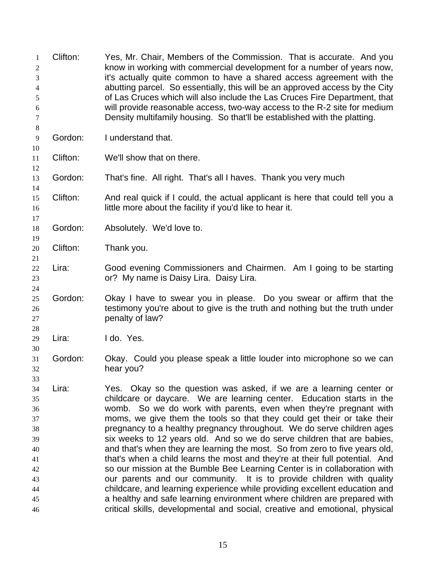| 1<br>$\overline{c}$<br>3<br>4<br>5<br>6<br>7                               | Clifton: | Yes, Mr. Chair, Members of the Commission. That is accurate. And you<br>know in working with commercial development for a number of years now,<br>it's actually quite common to have a shared access agreement with the<br>abutting parcel. So essentially, this will be an approved access by the City<br>of Las Cruces which will also include the Las Cruces Fire Department, that<br>will provide reasonable access, two-way access to the R-2 site for medium<br>Density multifamily housing. So that'll be established with the platting.                                                                                                                                                                                                                                                                                                                                                                                                                                                                 |
|----------------------------------------------------------------------------|----------|-----------------------------------------------------------------------------------------------------------------------------------------------------------------------------------------------------------------------------------------------------------------------------------------------------------------------------------------------------------------------------------------------------------------------------------------------------------------------------------------------------------------------------------------------------------------------------------------------------------------------------------------------------------------------------------------------------------------------------------------------------------------------------------------------------------------------------------------------------------------------------------------------------------------------------------------------------------------------------------------------------------------|
| $\,8\,$<br>$\overline{9}$<br>10                                            | Gordon:  | I understand that.                                                                                                                                                                                                                                                                                                                                                                                                                                                                                                                                                                                                                                                                                                                                                                                                                                                                                                                                                                                              |
| 11<br>12                                                                   | Clifton: | We'll show that on there.                                                                                                                                                                                                                                                                                                                                                                                                                                                                                                                                                                                                                                                                                                                                                                                                                                                                                                                                                                                       |
| 13<br>14                                                                   | Gordon:  | That's fine. All right. That's all I haves. Thank you very much                                                                                                                                                                                                                                                                                                                                                                                                                                                                                                                                                                                                                                                                                                                                                                                                                                                                                                                                                 |
| 15<br>16<br>17                                                             | Clifton: | And real quick if I could, the actual applicant is here that could tell you a<br>little more about the facility if you'd like to hear it.                                                                                                                                                                                                                                                                                                                                                                                                                                                                                                                                                                                                                                                                                                                                                                                                                                                                       |
| 18<br>19                                                                   | Gordon:  | Absolutely. We'd love to.                                                                                                                                                                                                                                                                                                                                                                                                                                                                                                                                                                                                                                                                                                                                                                                                                                                                                                                                                                                       |
| 20<br>21                                                                   | Clifton: | Thank you.                                                                                                                                                                                                                                                                                                                                                                                                                                                                                                                                                                                                                                                                                                                                                                                                                                                                                                                                                                                                      |
| 22<br>23<br>24                                                             | Lira:    | Good evening Commissioners and Chairmen. Am I going to be starting<br>or? My name is Daisy Lira. Daisy Lira.                                                                                                                                                                                                                                                                                                                                                                                                                                                                                                                                                                                                                                                                                                                                                                                                                                                                                                    |
| 25<br>26<br>27<br>28                                                       | Gordon:  | Okay I have to swear you in please. Do you swear or affirm that the<br>testimony you're about to give is the truth and nothing but the truth under<br>penalty of law?                                                                                                                                                                                                                                                                                                                                                                                                                                                                                                                                                                                                                                                                                                                                                                                                                                           |
| 29<br>30                                                                   | Lira:    | I do. Yes.                                                                                                                                                                                                                                                                                                                                                                                                                                                                                                                                                                                                                                                                                                                                                                                                                                                                                                                                                                                                      |
| 31<br>32<br>33                                                             | Gordon:  | Okay. Could you please speak a little louder into microphone so we can<br>hear you?                                                                                                                                                                                                                                                                                                                                                                                                                                                                                                                                                                                                                                                                                                                                                                                                                                                                                                                             |
| 34<br>35<br>36<br>37<br>38<br>39<br>40<br>41<br>42<br>43<br>44<br>45<br>46 | Lira:    | Yes. Okay so the question was asked, if we are a learning center or<br>childcare or daycare. We are learning center. Education starts in the<br>womb. So we do work with parents, even when they're pregnant with<br>moms, we give them the tools so that they could get their or take their<br>pregnancy to a healthy pregnancy throughout. We do serve children ages<br>six weeks to 12 years old. And so we do serve children that are babies,<br>and that's when they are learning the most. So from zero to five years old,<br>that's when a child learns the most and they're at their full potential. And<br>so our mission at the Bumble Bee Learning Center is in collaboration with<br>our parents and our community. It is to provide children with quality<br>childcare, and learning experience while providing excellent education and<br>a healthy and safe learning environment where children are prepared with<br>critical skills, developmental and social, creative and emotional, physical |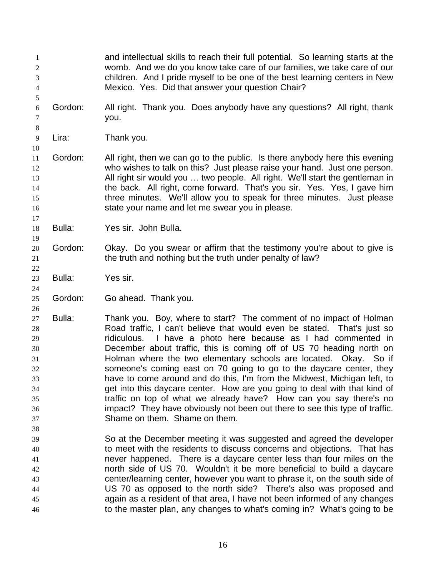and intellectual skills to reach their full potential. So learning starts at the womb. And we do you know take care of our families, we take care of our children. And I pride myself to be one of the best learning centers in New Mexico. Yes. Did that answer your question Chair? Gordon: All right. Thank you. Does anybody have any questions? All right, thank you. Lira: Thank you. Gordon: All right, then we can go to the public. Is there anybody here this evening who wishes to talk on this? Just please raise your hand. Just one person. All right sir would you … two people. All right. We'll start the gentleman in 14 the back. All right, come forward. That's you sir. Yes. Yes, I gave him three minutes. We'll allow you to speak for three minutes. Just please state your name and let me swear you in please. Bulla: Yes sir. John Bulla. Gordon: Okay. Do you swear or affirm that the testimony you're about to give is 21 the truth and nothing but the truth under penalty of law? Bulla: Yes sir. Gordon: Go ahead. Thank you. Bulla: Thank you. Boy, where to start? The comment of no impact of Holman Road traffic, I can't believe that would even be stated. That's just so ridiculous. I have a photo here because as I had commented in December about traffic, this is coming off of US 70 heading north on Holman where the two elementary schools are located. Okay. So if someone's coming east on 70 going to go to the daycare center, they have to come around and do this, I'm from the Midwest, Michigan left, to get into this daycare center. How are you going to deal with that kind of traffic on top of what we already have? How can you say there's no impact? They have obviously not been out there to see this type of traffic. Shame on them. Shame on them. So at the December meeting it was suggested and agreed the developer to meet with the residents to discuss concerns and objections. That has never happened. There is a daycare center less than four miles on the north side of US 70. Wouldn't it be more beneficial to build a daycare center/learning center, however you want to phrase it, on the south side of US 70 as opposed to the north side? There's also was proposed and again as a resident of that area, I have not been informed of any changes to the master plan, any changes to what's coming in? What's going to be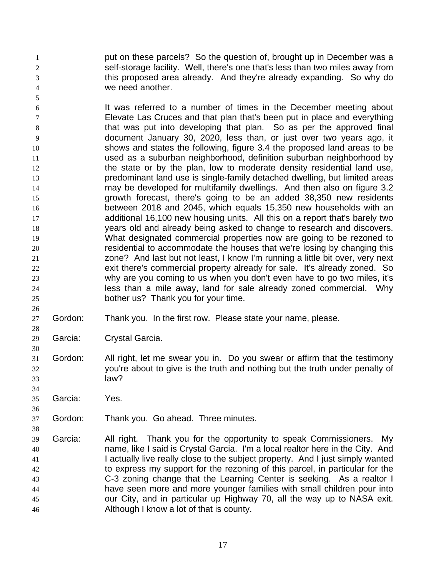1 put on these parcels? So the question of, brought up in December was a self-storage facility. Well, there's one that's less than two miles away from this proposed area already. And they're already expanding. So why do we need another.

 It was referred to a number of times in the December meeting about Elevate Las Cruces and that plan that's been put in place and everything that was put into developing that plan. So as per the approved final document January 30, 2020, less than, or just over two years ago, it shows and states the following, figure 3.4 the proposed land areas to be used as a suburban neighborhood, definition suburban neighborhood by 12 the state or by the plan, low to moderate density residential land use, predominant land use is single-family detached dwelling, but limited areas may be developed for multifamily dwellings. And then also on figure 3.2 growth forecast, there's going to be an added 38,350 new residents between 2018 and 2045, which equals 15,350 new households with an additional 16,100 new housing units. All this on a report that's barely two years old and already being asked to change to research and discovers. What designated commercial properties now are going to be rezoned to residential to accommodate the houses that we're losing by changing this zone? And last but not least, I know I'm running a little bit over, very next exit there's commercial property already for sale. It's already zoned. So why are you coming to us when you don't even have to go two miles, it's less than a mile away, land for sale already zoned commercial. Why bother us? Thank you for your time.

Gordon: Thank you. In the first row. Please state your name, please.

Garcia: Crystal Garcia.

 Gordon: All right, let me swear you in. Do you swear or affirm that the testimony you're about to give is the truth and nothing but the truth under penalty of law?

- Garcia: Yes.
- Gordon: Thank you. Go ahead. Three minutes.
- Garcia: All right. Thank you for the opportunity to speak Commissioners. My name, like I said is Crystal Garcia. I'm a local realtor here in the City. And 41 I actually live really close to the subject property. And I just simply wanted to express my support for the rezoning of this parcel, in particular for the C-3 zoning change that the Learning Center is seeking. As a realtor I have seen more and more younger families with small children pour into our City, and in particular up Highway 70, all the way up to NASA exit. Although I know a lot of that is county.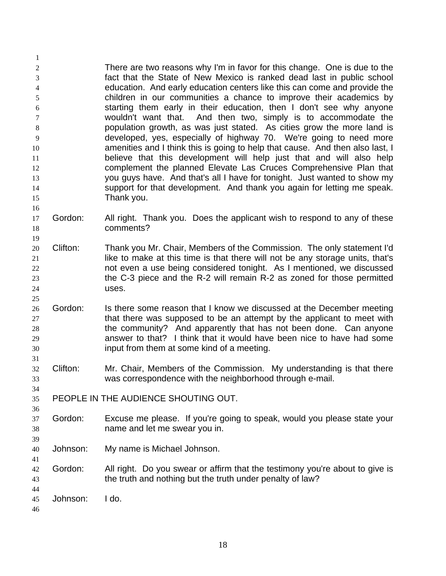There are two reasons why I'm in favor for this change. One is due to the fact that the State of New Mexico is ranked dead last in public school education. And early education centers like this can come and provide the children in our communities a chance to improve their academics by starting them early in their education, then I don't see why anyone wouldn't want that. And then two, simply is to accommodate the population growth, as was just stated. As cities grow the more land is developed, yes, especially of highway 70. We're going to need more **amenities and I think this is going to help that cause.** And then also last, I believe that this development will help just that and will also help complement the planned Elevate Las Cruces Comprehensive Plan that you guys have. And that's all I have for tonight. Just wanted to show my support for that development. And thank you again for letting me speak. Thank you.

- Gordon: All right. Thank you. Does the applicant wish to respond to any of these comments?
- Clifton: Thank you Mr. Chair, Members of the Commission. The only statement I'd **like to make at this time is that there will not be any storage units, that's**  not even a use being considered tonight. As I mentioned, we discussed the C-3 piece and the R-2 will remain R-2 as zoned for those permitted uses.
- 26 Gordon: Is there some reason that I know we discussed at the December meeting 27 that there was supposed to be an attempt by the applicant to meet with the community? And apparently that has not been done. Can anyone answer to that? I think that it would have been nice to have had some input from them at some kind of a meeting.
- Clifton: Mr. Chair, Members of the Commission. My understanding is that there was correspondence with the neighborhood through e-mail.
- PEOPLE IN THE AUDIENCE SHOUTING OUT.
- Gordon: Excuse me please. If you're going to speak, would you please state your name and let me swear you in.
- Johnson: My name is Michael Johnson.
- Gordon: All right. Do you swear or affirm that the testimony you're about to give is the truth and nothing but the truth under penalty of law?
- Johnson: I do.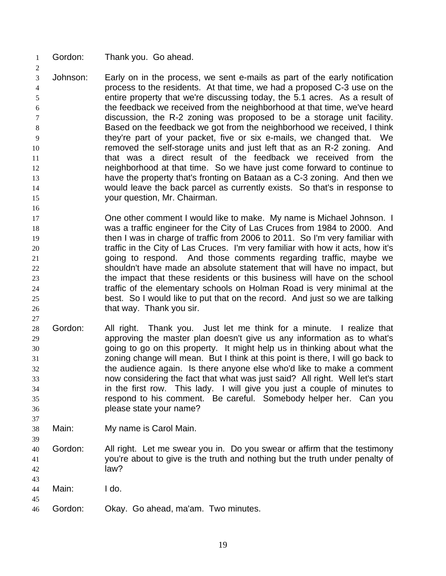Gordon: Thank you. Go ahead.

 Johnson: Early on in the process, we sent e-mails as part of the early notification process to the residents. At that time, we had a proposed C-3 use on the entire property that we're discussing today, the 5.1 acres. As a result of the feedback we received from the neighborhood at that time, we've heard discussion, the R-2 zoning was proposed to be a storage unit facility. Based on the feedback we got from the neighborhood we received, I think they're part of your packet, five or six e-mails, we changed that. We removed the self-storage units and just left that as an R-2 zoning. And 11 that was a direct result of the feedback we received from the neighborhood at that time. So we have just come forward to continue to have the property that's fronting on Bataan as a C-3 zoning. And then we would leave the back parcel as currently exists. So that's in response to your question, Mr. Chairman.

 One other comment I would like to make. My name is Michael Johnson. I was a traffic engineer for the City of Las Cruces from 1984 to 2000. And then I was in charge of traffic from 2006 to 2011. So I'm very familiar with traffic in the City of Las Cruces. I'm very familiar with how it acts, how it's going to respond. And those comments regarding traffic, maybe we shouldn't have made an absolute statement that will have no impact, but the impact that these residents or this business will have on the school traffic of the elementary schools on Holman Road is very minimal at the best. So I would like to put that on the record. And just so we are talking 26 that way. Thank you sir.

- Gordon: All right. Thank you. Just let me think for a minute. I realize that approving the master plan doesn't give us any information as to what's going to go on this property. It might help us in thinking about what the zoning change will mean. But I think at this point is there, I will go back to the audience again. Is there anyone else who'd like to make a comment now considering the fact that what was just said? All right. Well let's start in the first row. This lady. I will give you just a couple of minutes to respond to his comment. Be careful. Somebody helper her. Can you please state your name?
- Main: My name is Carol Main.
- Gordon: All right. Let me swear you in. Do you swear or affirm that the testimony you're about to give is the truth and nothing but the truth under penalty of law?
- Main: I do.
- 

Gordon: Okay. Go ahead, ma'am. Two minutes.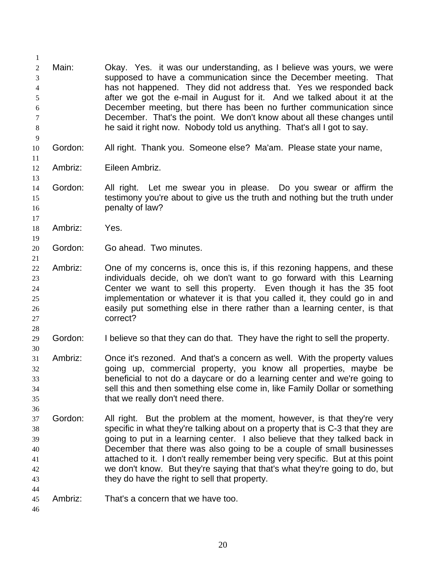| 1                          |         |                                                                                                                                                                                                                 |
|----------------------------|---------|-----------------------------------------------------------------------------------------------------------------------------------------------------------------------------------------------------------------|
| $\boldsymbol{2}$<br>3<br>4 | Main:   | Okay. Yes. it was our understanding, as I believe was yours, we were<br>supposed to have a communication since the December meeting. That<br>has not happened. They did not address that. Yes we responded back |
| 5                          |         | after we got the e-mail in August for it. And we talked about it at the                                                                                                                                         |
| 6                          |         | December meeting, but there has been no further communication since                                                                                                                                             |
| 7<br>$\,8\,$               |         | December. That's the point. We don't know about all these changes until<br>he said it right now. Nobody told us anything. That's all I got to say.                                                              |
| $\overline{9}$             |         |                                                                                                                                                                                                                 |
| 10<br>11                   | Gordon: | All right. Thank you. Someone else? Ma'am. Please state your name,                                                                                                                                              |
| 12<br>13                   | Ambriz: | Eileen Ambriz.                                                                                                                                                                                                  |
| 14                         | Gordon: | All right. Let me swear you in please. Do you swear or affirm the                                                                                                                                               |
| 15                         |         | testimony you're about to give us the truth and nothing but the truth under                                                                                                                                     |
| 16                         |         | penalty of law?                                                                                                                                                                                                 |
| 17                         |         |                                                                                                                                                                                                                 |
| 18                         | Ambriz: | Yes.                                                                                                                                                                                                            |
| 19                         | Gordon: | Go ahead. Two minutes.                                                                                                                                                                                          |
| 20<br>21                   |         |                                                                                                                                                                                                                 |
| 22                         | Ambriz: | One of my concerns is, once this is, if this rezoning happens, and these                                                                                                                                        |
| 23                         |         | individuals decide, oh we don't want to go forward with this Learning                                                                                                                                           |
| 24                         |         | Center we want to sell this property. Even though it has the 35 foot                                                                                                                                            |
| 25                         |         | implementation or whatever it is that you called it, they could go in and                                                                                                                                       |
| 26                         |         | easily put something else in there rather than a learning center, is that<br>correct?                                                                                                                           |
| 27<br>28                   |         |                                                                                                                                                                                                                 |
| 29<br>30                   | Gordon: | I believe so that they can do that. They have the right to sell the property.                                                                                                                                   |
| 31                         | Ambriz: | Once it's rezoned. And that's a concern as well. With the property values                                                                                                                                       |
| 32                         |         | going up, commercial property, you know all properties, maybe be                                                                                                                                                |
| 33                         |         | beneficial to not do a daycare or do a learning center and we're going to                                                                                                                                       |
| 34                         |         | sell this and then something else come in, like Family Dollar or something                                                                                                                                      |
| 35                         |         | that we really don't need there.                                                                                                                                                                                |
| 36                         |         |                                                                                                                                                                                                                 |
| 37                         | Gordon: | All right. But the problem at the moment, however, is that they're very                                                                                                                                         |
| 38<br>39                   |         | specific in what they're talking about on a property that is C-3 that they are<br>going to put in a learning center. I also believe that they talked back in                                                    |
| 40                         |         | December that there was also going to be a couple of small businesses                                                                                                                                           |
| 41                         |         | attached to it. I don't really remember being very specific. But at this point                                                                                                                                  |
| 42                         |         | we don't know. But they're saying that that's what they're going to do, but                                                                                                                                     |
| 43                         |         | they do have the right to sell that property.                                                                                                                                                                   |
| 44                         |         |                                                                                                                                                                                                                 |
| 45                         | Ambriz: | That's a concern that we have too.                                                                                                                                                                              |
| 46                         |         |                                                                                                                                                                                                                 |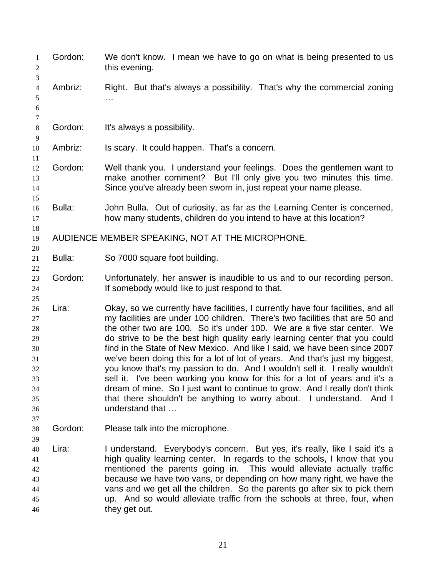| 1<br>2<br>3                                                          | Gordon: | We don't know. I mean we have to go on what is being presented to us<br>this evening.                                                                                                                                                                                                                                                                                                                                                                                                                                                                                                                                                                                                                                                                                                                                         |
|----------------------------------------------------------------------|---------|-------------------------------------------------------------------------------------------------------------------------------------------------------------------------------------------------------------------------------------------------------------------------------------------------------------------------------------------------------------------------------------------------------------------------------------------------------------------------------------------------------------------------------------------------------------------------------------------------------------------------------------------------------------------------------------------------------------------------------------------------------------------------------------------------------------------------------|
| $\overline{4}$<br>5<br>$\boldsymbol{6}$<br>$\tau$                    | Ambriz: | Right. But that's always a possibility. That's why the commercial zoning                                                                                                                                                                                                                                                                                                                                                                                                                                                                                                                                                                                                                                                                                                                                                      |
| $\,8\,$<br>9                                                         | Gordon: | It's always a possibility.                                                                                                                                                                                                                                                                                                                                                                                                                                                                                                                                                                                                                                                                                                                                                                                                    |
| 10                                                                   | Ambriz: | Is scary. It could happen. That's a concern.                                                                                                                                                                                                                                                                                                                                                                                                                                                                                                                                                                                                                                                                                                                                                                                  |
| 11<br>12<br>13<br>14                                                 | Gordon: | Well thank you. I understand your feelings. Does the gentlemen want to<br>make another comment? But I'll only give you two minutes this time.<br>Since you've already been sworn in, just repeat your name please.                                                                                                                                                                                                                                                                                                                                                                                                                                                                                                                                                                                                            |
| 15<br>16<br>17                                                       | Bulla:  | John Bulla. Out of curiosity, as far as the Learning Center is concerned,<br>how many students, children do you intend to have at this location?                                                                                                                                                                                                                                                                                                                                                                                                                                                                                                                                                                                                                                                                              |
| 18<br>19<br>20                                                       |         | AUDIENCE MEMBER SPEAKING, NOT AT THE MICROPHONE.                                                                                                                                                                                                                                                                                                                                                                                                                                                                                                                                                                                                                                                                                                                                                                              |
| 21<br>22                                                             | Bulla:  | So 7000 square foot building.                                                                                                                                                                                                                                                                                                                                                                                                                                                                                                                                                                                                                                                                                                                                                                                                 |
| 23<br>24<br>25                                                       | Gordon: | Unfortunately, her answer is inaudible to us and to our recording person.<br>If somebody would like to just respond to that.                                                                                                                                                                                                                                                                                                                                                                                                                                                                                                                                                                                                                                                                                                  |
| 26<br>27<br>28<br>29<br>30<br>31<br>32<br>33<br>34<br>35<br>36<br>37 | Lira:   | Okay, so we currently have facilities, I currently have four facilities, and all<br>my facilities are under 100 children. There's two facilities that are 50 and<br>the other two are 100. So it's under 100. We are a five star center. We<br>do strive to be the best high quality early learning center that you could<br>find in the State of New Mexico. And like I said, we have been since 2007<br>we've been doing this for a lot of lot of years. And that's just my biggest,<br>you know that's my passion to do. And I wouldn't sell it. I really wouldn't<br>sell it. I've been working you know for this for a lot of years and it's a<br>dream of mine. So I just want to continue to grow. And I really don't think<br>that there shouldn't be anything to worry about. I understand. And I<br>understand that |
| 38<br>39                                                             | Gordon: | Please talk into the microphone.                                                                                                                                                                                                                                                                                                                                                                                                                                                                                                                                                                                                                                                                                                                                                                                              |
| 40<br>41<br>42<br>43<br>44<br>45<br>46                               | Lira:   | I understand. Everybody's concern. But yes, it's really, like I said it's a<br>high quality learning center. In regards to the schools, I know that you<br>mentioned the parents going in. This would alleviate actually traffic<br>because we have two vans, or depending on how many right, we have the<br>vans and we get all the children. So the parents go after six to pick them<br>up. And so would alleviate traffic from the schools at three, four, when<br>they get out.                                                                                                                                                                                                                                                                                                                                          |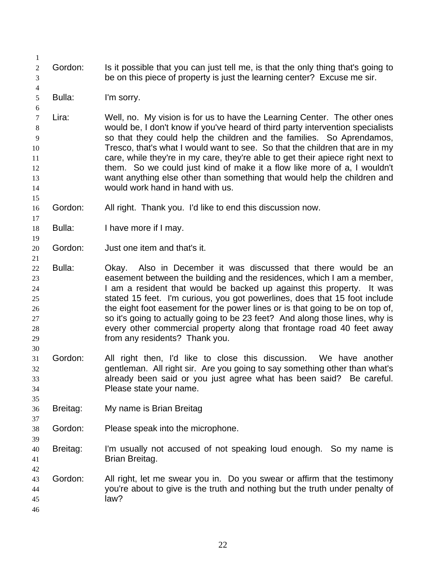- Gordon: Is it possible that you can just tell me, is that the only thing that's going to be on this piece of property is just the learning center? Excuse me sir.
- Bulla: I'm sorry.

 Lira: Well, no. My vision is for us to have the Learning Center. The other ones would be, I don't know if you've heard of third party intervention specialists so that they could help the children and the families. So Aprendamos, Tresco, that's what I would want to see. So that the children that are in my care, while they're in my care, they're able to get their apiece right next to them. So we could just kind of make it a flow like more of a, I wouldn't want anything else other than something that would help the children and would work hand in hand with us.

- Gordon: All right. Thank you. I'd like to end this discussion now.
- Bulla: I have more if I may.
- Gordon: Just one item and that's it.
- Bulla: Okay. Also in December it was discussed that there would be an easement between the building and the residences, which I am a member, 24 I am a resident that would be backed up against this property. It was stated 15 feet. I'm curious, you got powerlines, does that 15 foot include 26 the eight foot easement for the power lines or is that going to be on top of, so it's going to actually going to be 23 feet? And along those lines, why is every other commercial property along that frontage road 40 feet away from any residents? Thank you.
- Gordon: All right then, I'd like to close this discussion. We have another gentleman. All right sir. Are you going to say something other than what's already been said or you just agree what has been said? Be careful. Please state your name.
- Breitag: My name is Brian Breitag
- Gordon: Please speak into the microphone.
- Breitag: I'm usually not accused of not speaking loud enough. So my name is Brian Breitag.
- Gordon: All right, let me swear you in. Do you swear or affirm that the testimony you're about to give is the truth and nothing but the truth under penalty of law?
	-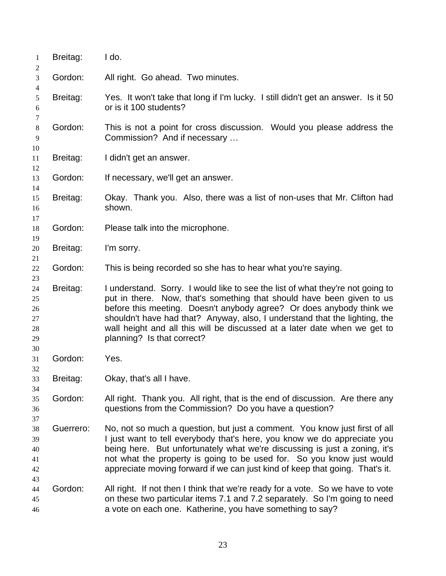| 1                                | Breitag:  | I do.                                                                                                                                                                                                                                                                                                                                                                                                                    |
|----------------------------------|-----------|--------------------------------------------------------------------------------------------------------------------------------------------------------------------------------------------------------------------------------------------------------------------------------------------------------------------------------------------------------------------------------------------------------------------------|
| 2<br>3                           | Gordon:   | All right. Go ahead. Two minutes.                                                                                                                                                                                                                                                                                                                                                                                        |
| 4<br>5<br>6                      | Breitag:  | Yes. It won't take that long if I'm lucky. I still didn't get an answer. Is it 50<br>or is it 100 students?                                                                                                                                                                                                                                                                                                              |
| 7<br>$\,8\,$<br>9                | Gordon:   | This is not a point for cross discussion. Would you please address the<br>Commission? And if necessary                                                                                                                                                                                                                                                                                                                   |
| 10<br>11<br>12                   | Breitag:  | I didn't get an answer.                                                                                                                                                                                                                                                                                                                                                                                                  |
| 13<br>14                         | Gordon:   | If necessary, we'll get an answer.                                                                                                                                                                                                                                                                                                                                                                                       |
| 15<br>16<br>17                   | Breitag:  | Okay. Thank you. Also, there was a list of non-uses that Mr. Clifton had<br>shown.                                                                                                                                                                                                                                                                                                                                       |
| 18<br>19                         | Gordon:   | Please talk into the microphone.                                                                                                                                                                                                                                                                                                                                                                                         |
| 20<br>21                         | Breitag:  | I'm sorry.                                                                                                                                                                                                                                                                                                                                                                                                               |
| 22<br>23                         | Gordon:   | This is being recorded so she has to hear what you're saying.                                                                                                                                                                                                                                                                                                                                                            |
| 24<br>25<br>26<br>27<br>28<br>29 | Breitag:  | I understand. Sorry. I would like to see the list of what they're not going to<br>put in there. Now, that's something that should have been given to us<br>before this meeting. Doesn't anybody agree? Or does anybody think we<br>shouldn't have had that? Anyway, also, I understand that the lighting, the<br>wall height and all this will be discussed at a later date when we get to<br>planning? Is that correct? |
| 30<br>31                         | Gordon:   | Yes.                                                                                                                                                                                                                                                                                                                                                                                                                     |
| 32<br>33<br>34                   | Breitag:  | Okay, that's all I have.                                                                                                                                                                                                                                                                                                                                                                                                 |
| 35<br>36<br>37                   | Gordon:   | All right. Thank you. All right, that is the end of discussion. Are there any<br>questions from the Commission? Do you have a question?                                                                                                                                                                                                                                                                                  |
| 38<br>39<br>40<br>41<br>42<br>43 | Guerrero: | No, not so much a question, but just a comment. You know just first of all<br>I just want to tell everybody that's here, you know we do appreciate you<br>being here. But unfortunately what we're discussing is just a zoning, it's<br>not what the property is going to be used for. So you know just would<br>appreciate moving forward if we can just kind of keep that going. That's it.                            |
| 44<br>45<br>46                   | Gordon:   | All right. If not then I think that we're ready for a vote. So we have to vote<br>on these two particular items 7.1 and 7.2 separately. So I'm going to need<br>a vote on each one. Katherine, you have something to say?                                                                                                                                                                                                |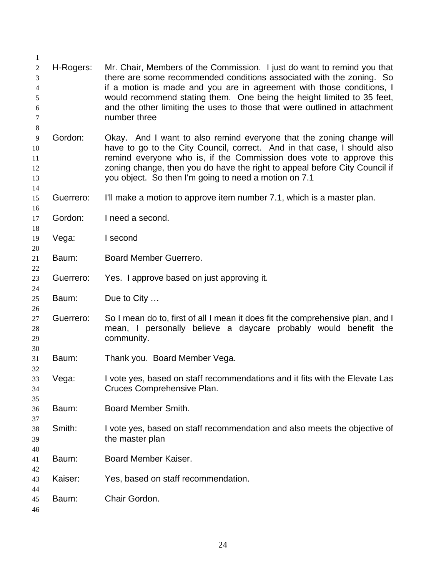| 1                                                                    |           |                                                                                                                                                                                                                                                                                                                                                                                                 |
|----------------------------------------------------------------------|-----------|-------------------------------------------------------------------------------------------------------------------------------------------------------------------------------------------------------------------------------------------------------------------------------------------------------------------------------------------------------------------------------------------------|
| $\overline{2}$<br>3<br>$\overline{4}$<br>5<br>6<br>$\tau$<br>$\,8\,$ | H-Rogers: | Mr. Chair, Members of the Commission. I just do want to remind you that<br>there are some recommended conditions associated with the zoning. So<br>if a motion is made and you are in agreement with those conditions, I<br>would recommend stating them. One being the height limited to 35 feet,<br>and the other limiting the uses to those that were outlined in attachment<br>number three |
| 9<br>10<br>11<br>12<br>13<br>14                                      | Gordon:   | Okay. And I want to also remind everyone that the zoning change will<br>have to go to the City Council, correct. And in that case, I should also<br>remind everyone who is, if the Commission does vote to approve this<br>zoning change, then you do have the right to appeal before City Council if<br>you object. So then I'm going to need a motion on 7.1                                  |
| 15                                                                   | Guerrero: | I'll make a motion to approve item number 7.1, which is a master plan.                                                                                                                                                                                                                                                                                                                          |
| 16<br>17<br>18                                                       | Gordon:   | I need a second.                                                                                                                                                                                                                                                                                                                                                                                |
| 19<br>20                                                             | Vega:     | I second                                                                                                                                                                                                                                                                                                                                                                                        |
| 21<br>22                                                             | Baum:     | Board Member Guerrero.                                                                                                                                                                                                                                                                                                                                                                          |
| 23<br>24                                                             | Guerrero: | Yes. I approve based on just approving it.                                                                                                                                                                                                                                                                                                                                                      |
| 25<br>26                                                             | Baum:     | Due to City                                                                                                                                                                                                                                                                                                                                                                                     |
| 27<br>$28\,$<br>29                                                   | Guerrero: | So I mean do to, first of all I mean it does fit the comprehensive plan, and I<br>mean, I personally believe a daycare probably would benefit the<br>community.                                                                                                                                                                                                                                 |
| 30<br>31<br>32                                                       | Baum:     | Thank you. Board Member Vega.                                                                                                                                                                                                                                                                                                                                                                   |
| 33<br>34<br>35                                                       | Vega:     | I vote yes, based on staff recommendations and it fits with the Elevate Las<br>Cruces Comprehensive Plan.                                                                                                                                                                                                                                                                                       |
| 36<br>37                                                             | Baum:     | Board Member Smith.                                                                                                                                                                                                                                                                                                                                                                             |
| 38<br>39<br>40                                                       | Smith:    | I vote yes, based on staff recommendation and also meets the objective of<br>the master plan                                                                                                                                                                                                                                                                                                    |
| 41<br>42                                                             | Baum:     | Board Member Kaiser.                                                                                                                                                                                                                                                                                                                                                                            |
| 43<br>44                                                             | Kaiser:   | Yes, based on staff recommendation.                                                                                                                                                                                                                                                                                                                                                             |
| 45<br>46                                                             | Baum:     | Chair Gordon.                                                                                                                                                                                                                                                                                                                                                                                   |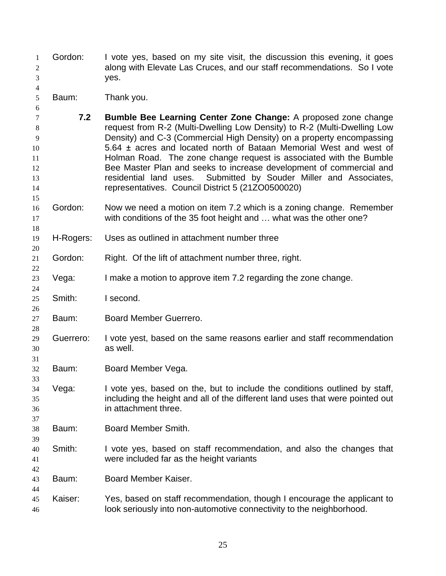Gordon: I vote yes, based on my site visit, the discussion this evening, it goes along with Elevate Las Cruces, and our staff recommendations. So I vote yes.

Baum: Thank you.

- **7.2 Bumble Bee Learning Center Zone Change:** A proposed zone change request from R-2 (Multi-Dwelling Low Density) to R-2 (Multi-Dwelling Low Density) and C-3 (Commercial High Density) on a property encompassing 5.64 ± acres and located north of Bataan Memorial West and west of Holman Road. The zone change request is associated with the Bumble Bee Master Plan and seeks to increase development of commercial and residential land uses. Submitted by Souder Miller and Associates, representatives. Council District 5 (21ZO0500020)
- Gordon: Now we need a motion on item 7.2 which is a zoning change. Remember with conditions of the 35 foot height and … what was the other one?
- H-Rogers: Uses as outlined in attachment number three
- Gordon: Right. Of the lift of attachment number three, right.
- Vega: I make a motion to approve item 7.2 regarding the zone change.
- Smith: I second.
- Baum: Board Member Guerrero.
- Guerrero: I vote yest, based on the same reasons earlier and staff recommendation as well.
- Baum: Board Member Vega.
- Vega: I vote yes, based on the, but to include the conditions outlined by staff, including the height and all of the different land uses that were pointed out in attachment three.
- Baum: Board Member Smith.
- Smith: I vote yes, based on staff recommendation, and also the changes that were included far as the height variants
- Baum: Board Member Kaiser.
- Kaiser: Yes, based on staff recommendation, though I encourage the applicant to look seriously into non-automotive connectivity to the neighborhood.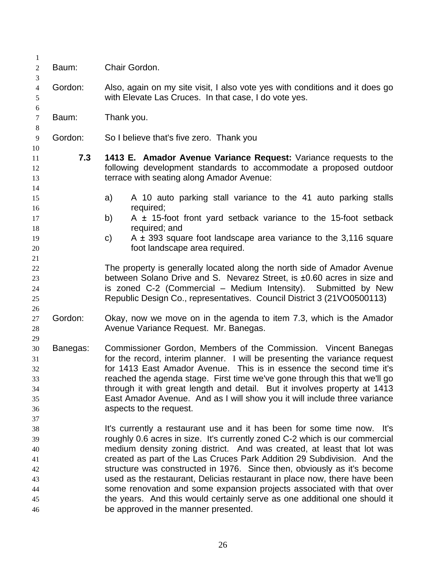| $\mathbf{1}$<br>$\boldsymbol{2}$                         | Baum:    | Chair Gordon.                                                                                                                                                                                                                                                                                                                                                                                                                                                                                                                                                                                                                                                     |
|----------------------------------------------------------|----------|-------------------------------------------------------------------------------------------------------------------------------------------------------------------------------------------------------------------------------------------------------------------------------------------------------------------------------------------------------------------------------------------------------------------------------------------------------------------------------------------------------------------------------------------------------------------------------------------------------------------------------------------------------------------|
| 3<br>$\overline{4}$<br>5                                 | Gordon:  | Also, again on my site visit, I also vote yes with conditions and it does go<br>with Elevate Las Cruces. In that case, I do vote yes.                                                                                                                                                                                                                                                                                                                                                                                                                                                                                                                             |
| $\boldsymbol{6}$<br>$\tau$                               | Baum:    | Thank you.                                                                                                                                                                                                                                                                                                                                                                                                                                                                                                                                                                                                                                                        |
| $8\,$<br>$\overline{9}$                                  | Gordon:  | So I believe that's five zero. Thank you                                                                                                                                                                                                                                                                                                                                                                                                                                                                                                                                                                                                                          |
| 10<br>11<br>12<br>13<br>14                               | 7.3      | 1413 E. Amador Avenue Variance Request: Variance requests to the<br>following development standards to accommodate a proposed outdoor<br>terrace with seating along Amador Avenue:                                                                                                                                                                                                                                                                                                                                                                                                                                                                                |
| 15                                                       |          | A 10 auto parking stall variance to the 41 auto parking stalls<br>a)                                                                                                                                                                                                                                                                                                                                                                                                                                                                                                                                                                                              |
| 16<br>17                                                 |          | required;<br>A $\pm$ 15-foot front yard setback variance to the 15-foot setback<br>b)                                                                                                                                                                                                                                                                                                                                                                                                                                                                                                                                                                             |
| 18<br>19<br>20<br>21                                     |          | required; and<br>A $\pm$ 393 square foot landscape area variance to the 3,116 square<br>C)<br>foot landscape area required.                                                                                                                                                                                                                                                                                                                                                                                                                                                                                                                                       |
| 22<br>23<br>24<br>25                                     |          | The property is generally located along the north side of Amador Avenue<br>between Solano Drive and S. Nevarez Street, is ±0.60 acres in size and<br>is zoned C-2 (Commercial – Medium Intensity). Submitted by New<br>Republic Design Co., representatives. Council District 3 (21VO0500113)                                                                                                                                                                                                                                                                                                                                                                     |
| 26<br>27<br>28                                           | Gordon:  | Okay, now we move on in the agenda to item 7.3, which is the Amador<br>Avenue Variance Request. Mr. Banegas.                                                                                                                                                                                                                                                                                                                                                                                                                                                                                                                                                      |
| 29<br>30<br>31<br>32<br>33<br>34<br>35<br>36             | Banegas: | Commissioner Gordon, Members of the Commission. Vincent Banegas<br>for the record, interim planner. I will be presenting the variance request<br>for 1413 East Amador Avenue. This is in essence the second time it's<br>reached the agenda stage. First time we've gone through this that we'll go<br>through it with great length and detail. But it involves property at 1413<br>East Amador Avenue. And as I will show you it will include three variance<br>aspects to the request.                                                                                                                                                                          |
| 37<br>38<br>39<br>40<br>41<br>42<br>43<br>44<br>45<br>46 |          | It's currently a restaurant use and it has been for some time now. It's<br>roughly 0.6 acres in size. It's currently zoned C-2 which is our commercial<br>medium density zoning district. And was created, at least that lot was<br>created as part of the Las Cruces Park Addition 29 Subdivision. And the<br>structure was constructed in 1976. Since then, obviously as it's become<br>used as the restaurant, Delicias restaurant in place now, there have been<br>some renovation and some expansion projects associated with that over<br>the years. And this would certainly serve as one additional one should it<br>be approved in the manner presented. |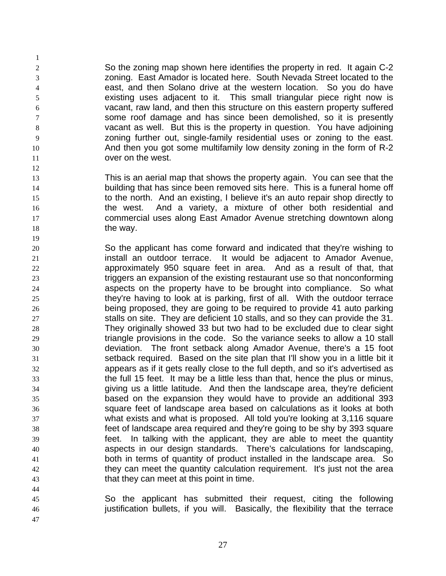So the zoning map shown here identifies the property in red. It again C-2 zoning. East Amador is located here. South Nevada Street located to the east, and then Solano drive at the western location. So you do have existing uses adjacent to it. This small triangular piece right now is vacant, raw land, and then this structure on this eastern property suffered some roof damage and has since been demolished, so it is presently vacant as well. But this is the property in question. You have adjoining zoning further out, single-family residential uses or zoning to the east. And then you got some multifamily low density zoning in the form of R-2 over on the west.

- This is an aerial map that shows the property again. You can see that the building that has since been removed sits here. This is a funeral home off to the north. And an existing, I believe it's an auto repair shop directly to the west. And a variety, a mixture of other both residential and commercial uses along East Amador Avenue stretching downtown along 18 the way.
- So the applicant has come forward and indicated that they're wishing to install an outdoor terrace. It would be adjacent to Amador Avenue, approximately 950 square feet in area. And as a result of that, that triggers an expansion of the existing restaurant use so that nonconforming aspects on the property have to be brought into compliance. So what they're having to look at is parking, first of all. With the outdoor terrace being proposed, they are going to be required to provide 41 auto parking stalls on site. They are deficient 10 stalls, and so they can provide the 31. They originally showed 33 but two had to be excluded due to clear sight triangle provisions in the code. So the variance seeks to allow a 10 stall deviation. The front setback along Amador Avenue, there's a 15 foot setback required. Based on the site plan that I'll show you in a little bit it appears as if it gets really close to the full depth, and so it's advertised as the full 15 feet. It may be a little less than that, hence the plus or minus, giving us a little latitude. And then the landscape area, they're deficient based on the expansion they would have to provide an additional 393 square feet of landscape area based on calculations as it looks at both what exists and what is proposed. All told you're looking at 3,116 square feet of landscape area required and they're going to be shy by 393 square feet. In talking with the applicant, they are able to meet the quantity aspects in our design standards. There's calculations for landscaping, both in terms of quantity of product installed in the landscape area. So they can meet the quantity calculation requirement. It's just not the area that they can meet at this point in time.
- So the applicant has submitted their request, citing the following justification bullets, if you will. Basically, the flexibility that the terrace
-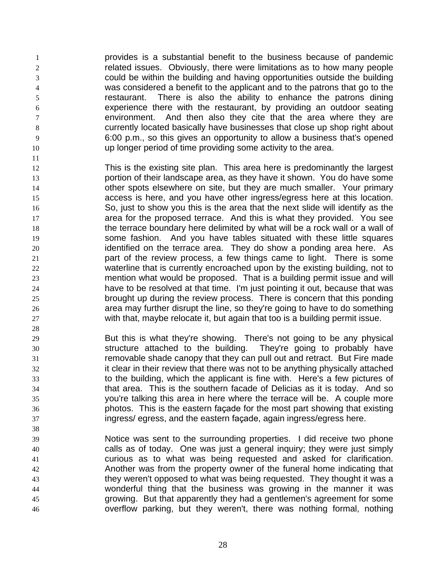provides is a substantial benefit to the business because of pandemic related issues. Obviously, there were limitations as to how many people could be within the building and having opportunities outside the building was considered a benefit to the applicant and to the patrons that go to the restaurant. There is also the ability to enhance the patrons dining experience there with the restaurant, by providing an outdoor seating environment. And then also they cite that the area where they are currently located basically have businesses that close up shop right about 6:00 p.m., so this gives an opportunity to allow a business that's opened up longer period of time providing some activity to the area.

- This is the existing site plan. This area here is predominantly the largest portion of their landscape area, as they have it shown. You do have some 14 other spots elsewhere on site, but they are much smaller. Your primary access is here, and you have other ingress/egress here at this location. So, just to show you this is the area that the next slide will identify as the area for the proposed terrace. And this is what they provided. You see the terrace boundary here delimited by what will be a rock wall or a wall of some fashion. And you have tables situated with these little squares identified on the terrace area. They do show a ponding area here. As part of the review process, a few things came to light. There is some waterline that is currently encroached upon by the existing building, not to mention what would be proposed. That is a building permit issue and will have to be resolved at that time. I'm just pointing it out, because that was brought up during the review process. There is concern that this ponding area may further disrupt the line, so they're going to have to do something with that, maybe relocate it, but again that too is a building permit issue.
- But this is what they're showing. There's not going to be any physical structure attached to the building. They're going to probably have removable shade canopy that they can pull out and retract. But Fire made it clear in their review that there was not to be anything physically attached to the building, which the applicant is fine with. Here's a few pictures of that area. This is the southern facade of Delicias as it is today. And so you're talking this area in here where the terrace will be. A couple more photos. This is the eastern façade for the most part showing that existing ingress/ egress, and the eastern façade, again ingress/egress here.
- Notice was sent to the surrounding properties. I did receive two phone calls as of today. One was just a general inquiry; they were just simply curious as to what was being requested and asked for clarification. Another was from the property owner of the funeral home indicating that they weren't opposed to what was being requested. They thought it was a wonderful thing that the business was growing in the manner it was growing. But that apparently they had a gentlemen's agreement for some overflow parking, but they weren't, there was nothing formal, nothing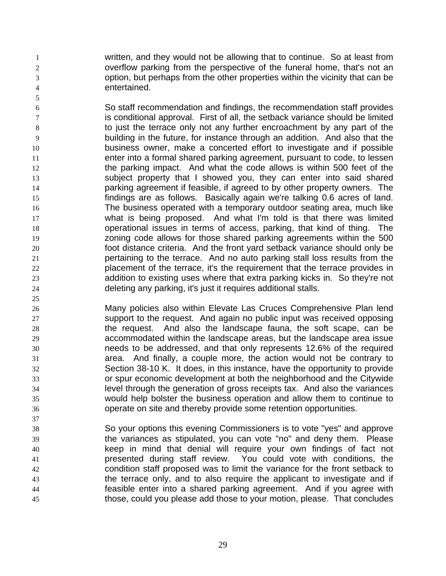written, and they would not be allowing that to continue. So at least from overflow parking from the perspective of the funeral home, that's not an option, but perhaps from the other properties within the vicinity that can be entertained.

 So staff recommendation and findings, the recommendation staff provides is conditional approval. First of all, the setback variance should be limited to just the terrace only not any further encroachment by any part of the building in the future, for instance through an addition. And also that the business owner, make a concerted effort to investigate and if possible enter into a formal shared parking agreement, pursuant to code, to lessen 12 the parking impact. And what the code allows is within 500 feet of the subject property that I showed you, they can enter into said shared parking agreement if feasible, if agreed to by other property owners. The findings are as follows. Basically again we're talking 0.6 acres of land. The business operated with a temporary outdoor seating area, much like what is being proposed. And what I'm told is that there was limited operational issues in terms of access, parking, that kind of thing. The zoning code allows for those shared parking agreements within the 500 foot distance criteria. And the front yard setback variance should only be pertaining to the terrace. And no auto parking stall loss results from the placement of the terrace, it's the requirement that the terrace provides in addition to existing uses where that extra parking kicks in. So they're not deleting any parking, it's just it requires additional stalls.

- Many policies also within Elevate Las Cruces Comprehensive Plan lend support to the request. And again no public input was received opposing the request. And also the landscape fauna, the soft scape, can be accommodated within the landscape areas, but the landscape area issue needs to be addressed, and that only represents 12.6% of the required area. And finally, a couple more, the action would not be contrary to Section 38-10 K. It does, in this instance, have the opportunity to provide or spur economic development at both the neighborhood and the Citywide level through the generation of gross receipts tax. And also the variances would help bolster the business operation and allow them to continue to operate on site and thereby provide some retention opportunities.
- So your options this evening Commissioners is to vote "yes" and approve the variances as stipulated, you can vote "no" and deny them. Please keep in mind that denial will require your own findings of fact not presented during staff review. You could vote with conditions, the condition staff proposed was to limit the variance for the front setback to the terrace only, and to also require the applicant to investigate and if feasible enter into a shared parking agreement. And if you agree with those, could you please add those to your motion, please. That concludes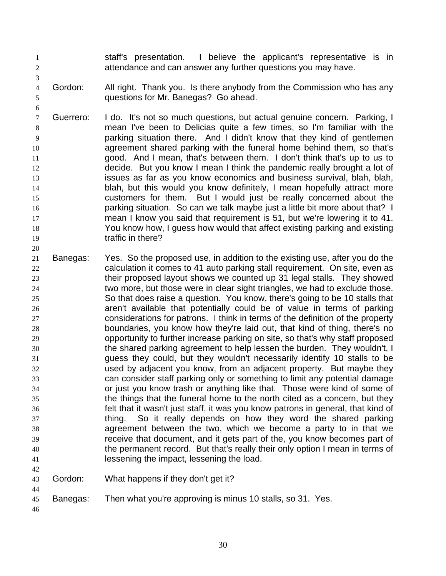- staff's presentation. I believe the applicant's representative is in attendance and can answer any further questions you may have.
- 4 Gordon: All right. Thank you. Is there anybody from the Commission who has any questions for Mr. Banegas? Go ahead.
- Guerrero: I do. It's not so much questions, but actual genuine concern. Parking, I mean I've been to Delicias quite a few times, so I'm familiar with the parking situation there. And I didn't know that they kind of gentlemen agreement shared parking with the funeral home behind them, so that's good. And I mean, that's between them. I don't think that's up to us to decide. But you know I mean I think the pandemic really brought a lot of issues as far as you know economics and business survival, blah, blah, blah, but this would you know definitely, I mean hopefully attract more customers for them. But I would just be really concerned about the parking situation. So can we talk maybe just a little bit more about that? I mean I know you said that requirement is 51, but we're lowering it to 41. You know how, I guess how would that affect existing parking and existing **traffic in there?**
- Banegas: Yes. So the proposed use, in addition to the existing use, after you do the calculation it comes to 41 auto parking stall requirement. On site, even as their proposed layout shows we counted up 31 legal stalls. They showed two more, but those were in clear sight triangles, we had to exclude those. So that does raise a question. You know, there's going to be 10 stalls that aren't available that potentially could be of value in terms of parking considerations for patrons. I think in terms of the definition of the property boundaries, you know how they're laid out, that kind of thing, there's no opportunity to further increase parking on site, so that's why staff proposed the shared parking agreement to help lessen the burden. They wouldn't, I guess they could, but they wouldn't necessarily identify 10 stalls to be used by adjacent you know, from an adjacent property. But maybe they can consider staff parking only or something to limit any potential damage or just you know trash or anything like that. Those were kind of some of the things that the funeral home to the north cited as a concern, but they felt that it wasn't just staff, it was you know patrons in general, that kind of thing. So it really depends on how they word the shared parking agreement between the two, which we become a party to in that we receive that document, and it gets part of the, you know becomes part of the permanent record. But that's really their only option I mean in terms of **lessening the impact, lessening the load.**
- Gordon: What happens if they don't get it?
- Banegas: Then what you're approving is minus 10 stalls, so 31. Yes.
-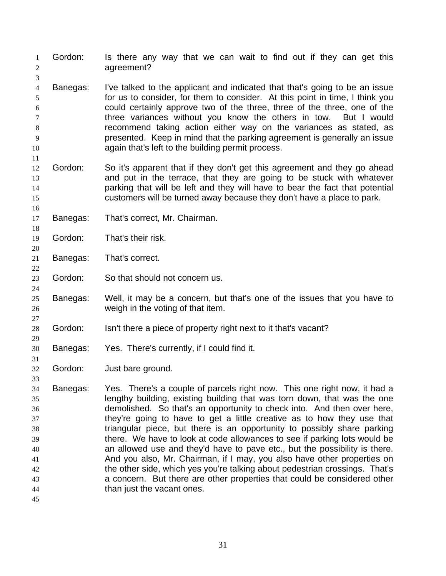- Gordon: Is there any way that we can wait to find out if they can get this 2 agreement? Banegas: I've talked to the applicant and indicated that that's going to be an issue for us to consider, for them to consider. At this point in time, I think you could certainly approve two of the three, three of the three, one of the three variances without you know the others in tow. But I would recommend taking action either way on the variances as stated, as presented. Keep in mind that the parking agreement is generally an issue again that's left to the building permit process. Gordon: So it's apparent that if they don't get this agreement and they go ahead and put in the terrace, that they are going to be stuck with whatever parking that will be left and they will have to bear the fact that potential customers will be turned away because they don't have a place to park. Banegas: That's correct, Mr. Chairman. Gordon: That's their risk. Banegas: That's correct. Gordon: So that should not concern us. Banegas: Well, it may be a concern, but that's one of the issues that you have to weigh in the voting of that item. Gordon: Isn't there a piece of property right next to it that's vacant? Banegas: Yes. There's currently, if I could find it. Gordon: Just bare ground. Banegas: Yes. There's a couple of parcels right now. This one right now, it had a lengthy building, existing building that was torn down, that was the one demolished. So that's an opportunity to check into. And then over here, they're going to have to get a little creative as to how they use that triangular piece, but there is an opportunity to possibly share parking there. We have to look at code allowances to see if parking lots would be an allowed use and they'd have to pave etc., but the possibility is there. And you also, Mr. Chairman, if I may, you also have other properties on the other side, which yes you're talking about pedestrian crossings. That's a concern. But there are other properties that could be considered other than just the vacant ones.
-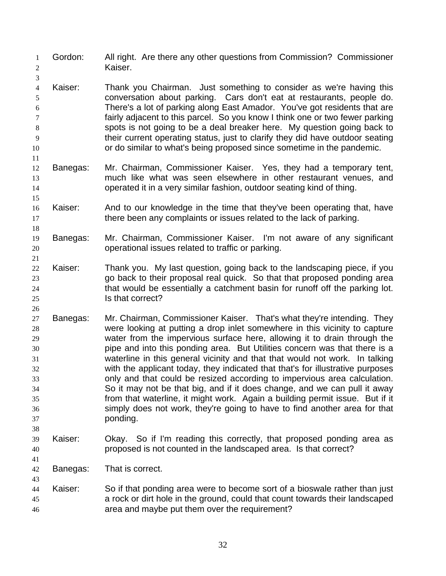Gordon: All right. Are there any other questions from Commission? Commissioner Kaiser. Kaiser: Thank you Chairman. Just something to consider as we're having this conversation about parking. Cars don't eat at restaurants, people do. There's a lot of parking along East Amador. You've got residents that are fairly adjacent to this parcel. So you know I think one or two fewer parking spots is not going to be a deal breaker here. My question going back to their current operating status, just to clarify they did have outdoor seating 10 or do similar to what's being proposed since sometime in the pandemic. Banegas: Mr. Chairman, Commissioner Kaiser. Yes, they had a temporary tent, much like what was seen elsewhere in other restaurant venues, and operated it in a very similar fashion, outdoor seating kind of thing. Kaiser: And to our knowledge in the time that they've been operating that, have 17 there been any complaints or issues related to the lack of parking. Banegas: Mr. Chairman, Commissioner Kaiser. I'm not aware of any significant operational issues related to traffic or parking. Kaiser: Thank you. My last question, going back to the landscaping piece, if you go back to their proposal real quick. So that that proposed ponding area that would be essentially a catchment basin for runoff off the parking lot. **Is that correct?**  Banegas: Mr. Chairman, Commissioner Kaiser. That's what they're intending. They were looking at putting a drop inlet somewhere in this vicinity to capture water from the impervious surface here, allowing it to drain through the pipe and into this ponding area. But Utilities concern was that there is a waterline in this general vicinity and that that would not work. In talking with the applicant today, they indicated that that's for illustrative purposes only and that could be resized according to impervious area calculation. So it may not be that big, and if it does change, and we can pull it away from that waterline, it might work. Again a building permit issue. But if it simply does not work, they're going to have to find another area for that ponding. Kaiser: Okay. So if I'm reading this correctly, that proposed ponding area as proposed is not counted in the landscaped area. Is that correct? Banegas: That is correct. Kaiser: So if that ponding area were to become sort of a bioswale rather than just a rock or dirt hole in the ground, could that count towards their landscaped area and maybe put them over the requirement?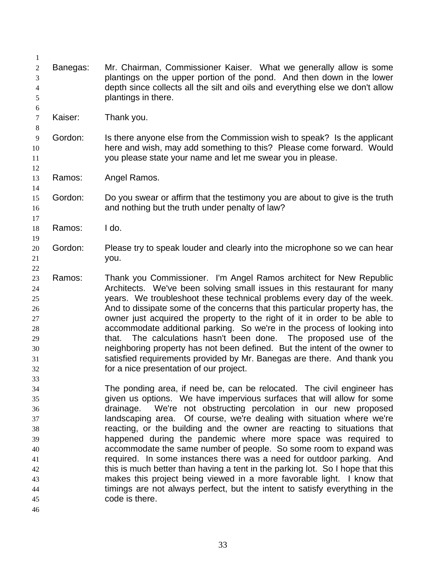| 1  |          |                                                                                |
|----|----------|--------------------------------------------------------------------------------|
| 2  | Banegas: | Mr. Chairman, Commissioner Kaiser. What we generally allow is some             |
| 3  |          | plantings on the upper portion of the pond. And then down in the lower         |
| 4  |          | depth since collects all the silt and oils and everything else we don't allow  |
| 5  |          | plantings in there.                                                            |
| 6  |          |                                                                                |
| 7  | Kaiser:  | Thank you.                                                                     |
| 8  |          |                                                                                |
| 9  | Gordon:  | Is there anyone else from the Commission wish to speak? Is the applicant       |
| 10 |          | here and wish, may add something to this? Please come forward. Would           |
| 11 |          | you please state your name and let me swear you in please.                     |
| 12 |          |                                                                                |
| 13 | Ramos:   | Angel Ramos.                                                                   |
| 14 |          |                                                                                |
| 15 | Gordon:  | Do you swear or affirm that the testimony you are about to give is the truth   |
| 16 |          | and nothing but the truth under penalty of law?                                |
| 17 |          |                                                                                |
| 18 | Ramos:   | I do.                                                                          |
| 19 |          |                                                                                |
| 20 | Gordon:  | Please try to speak louder and clearly into the microphone so we can hear      |
| 21 |          | you.                                                                           |
| 22 |          |                                                                                |
| 23 | Ramos:   | Thank you Commissioner. I'm Angel Ramos architect for New Republic             |
| 24 |          | Architects. We've been solving small issues in this restaurant for many        |
| 25 |          | years. We troubleshoot these technical problems every day of the week.         |
| 26 |          | And to dissipate some of the concerns that this particular property has, the   |
| 27 |          | owner just acquired the property to the right of it in order to be able to     |
| 28 |          | accommodate additional parking. So we're in the process of looking into        |
| 29 |          | The calculations hasn't been done. The proposed use of the<br>that.            |
| 30 |          | neighboring property has not been defined. But the intent of the owner to      |
| 31 |          | satisfied requirements provided by Mr. Banegas are there. And thank you        |
| 32 |          | for a nice presentation of our project.                                        |
| 33 |          |                                                                                |
| 34 |          | The ponding area, if need be, can be relocated. The civil engineer has         |
| 35 |          | given us options. We have impervious surfaces that will allow for some         |
| 36 |          | drainage. We're not obstructing percolation in our new proposed                |
| 37 |          | landscaping area. Of course, we're dealing with situation where we're          |
| 38 |          | reacting, or the building and the owner are reacting to situations that        |
| 39 |          | happened during the pandemic where more space was required to                  |
| 40 |          | accommodate the same number of people. So some room to expand was              |
| 41 |          | required. In some instances there was a need for outdoor parking. And          |
| 42 |          | this is much better than having a tent in the parking lot. So I hope that this |
| 43 |          | makes this project being viewed in a more favorable light. I know that         |
| 44 |          | timings are not always perfect, but the intent to satisfy everything in the    |
| 45 |          | code is there.                                                                 |
| 46 |          |                                                                                |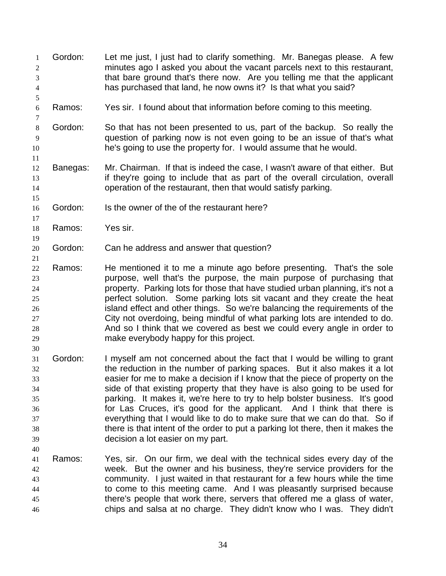| 1<br>$\sqrt{2}$<br>3<br>$\overline{4}$                   | Gordon:  | Let me just, I just had to clarify something. Mr. Banegas please. A few<br>minutes ago I asked you about the vacant parcels next to this restaurant,<br>that bare ground that's there now. Are you telling me that the applicant<br>has purchased that land, he now owns it? Is that what you said?                                                                                                                                                                                                                                                                                                                                                                                 |
|----------------------------------------------------------|----------|-------------------------------------------------------------------------------------------------------------------------------------------------------------------------------------------------------------------------------------------------------------------------------------------------------------------------------------------------------------------------------------------------------------------------------------------------------------------------------------------------------------------------------------------------------------------------------------------------------------------------------------------------------------------------------------|
| 5<br>$\sqrt{6}$<br>7                                     | Ramos:   | Yes sir. I found about that information before coming to this meeting.                                                                                                                                                                                                                                                                                                                                                                                                                                                                                                                                                                                                              |
| $8\,$<br>9<br>10<br>11                                   | Gordon:  | So that has not been presented to us, part of the backup. So really the<br>question of parking now is not even going to be an issue of that's what<br>he's going to use the property for. I would assume that he would.                                                                                                                                                                                                                                                                                                                                                                                                                                                             |
| 12<br>13<br>14                                           | Banegas: | Mr. Chairman. If that is indeed the case, I wasn't aware of that either. But<br>if they're going to include that as part of the overall circulation, overall<br>operation of the restaurant, then that would satisfy parking.                                                                                                                                                                                                                                                                                                                                                                                                                                                       |
| 15<br>16<br>17                                           | Gordon:  | Is the owner of the of the restaurant here?                                                                                                                                                                                                                                                                                                                                                                                                                                                                                                                                                                                                                                         |
| 18<br>19                                                 | Ramos:   | Yes sir.                                                                                                                                                                                                                                                                                                                                                                                                                                                                                                                                                                                                                                                                            |
| 20<br>21                                                 | Gordon:  | Can he address and answer that question?                                                                                                                                                                                                                                                                                                                                                                                                                                                                                                                                                                                                                                            |
| 22<br>23<br>24<br>25<br>26<br>27<br>28<br>29<br>30       | Ramos:   | He mentioned it to me a minute ago before presenting. That's the sole<br>purpose, well that's the purpose, the main purpose of purchasing that<br>property. Parking lots for those that have studied urban planning, it's not a<br>perfect solution. Some parking lots sit vacant and they create the heat<br>island effect and other things. So we're balancing the requirements of the<br>City not overdoing, being mindful of what parking lots are intended to do.<br>And so I think that we covered as best we could every angle in order to<br>make everybody happy for this project.                                                                                         |
| 31<br>32<br>33<br>34<br>35<br>36<br>37<br>38<br>39<br>40 | Gordon:  | I myself am not concerned about the fact that I would be willing to grant<br>the reduction in the number of parking spaces. But it also makes it a lot<br>easier for me to make a decision if I know that the piece of property on the<br>side of that existing property that they have is also going to be used for<br>parking. It makes it, we're here to try to help bolster business. It's good<br>for Las Cruces, it's good for the applicant. And I think that there is<br>everything that I would like to do to make sure that we can do that. So if<br>there is that intent of the order to put a parking lot there, then it makes the<br>decision a lot easier on my part. |
| 41<br>42<br>43<br>44<br>45<br>46                         | Ramos:   | Yes, sir. On our firm, we deal with the technical sides every day of the<br>week. But the owner and his business, they're service providers for the<br>community. I just waited in that restaurant for a few hours while the time<br>to come to this meeting came. And I was pleasantly surprised because<br>there's people that work there, servers that offered me a glass of water,<br>chips and salsa at no charge. They didn't know who I was. They didn't                                                                                                                                                                                                                     |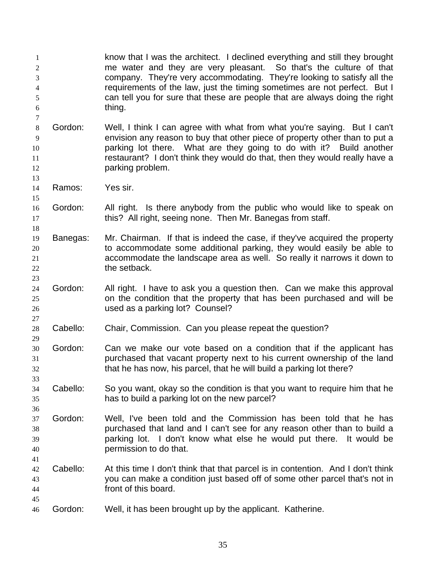know that I was the architect. I declined everything and still they brought me water and they are very pleasant. So that's the culture of that company. They're very accommodating. They're looking to satisfy all the requirements of the law, just the timing sometimes are not perfect. But I can tell you for sure that these are people that are always doing the right thing. 

- Gordon: Well, I think I can agree with what from what you're saying. But I can't envision any reason to buy that other piece of property other than to put a parking lot there. What are they going to do with it? Build another restaurant? I don't think they would do that, then they would really have a **parking problem.**
- Ramos: Yes sir.

- Gordon: All right. Is there anybody from the public who would like to speak on 17 this? All right, seeing none. Then Mr. Banegas from staff.
- Banegas: Mr. Chairman. If that is indeed the case, if they've acquired the property to accommodate some additional parking, they would easily be able to accommodate the landscape area as well. So really it narrows it down to 22 the setback.
- Gordon: All right. I have to ask you a question then. Can we make this approval on the condition that the property that has been purchased and will be used as a parking lot? Counsel?
- Cabello: Chair, Commission. Can you please repeat the question?
- Gordon: Can we make our vote based on a condition that if the applicant has purchased that vacant property next to his current ownership of the land that he has now, his parcel, that he will build a parking lot there?
- Cabello: So you want, okay so the condition is that you want to require him that he has to build a parking lot on the new parcel?
- Gordon: Well, I've been told and the Commission has been told that he has purchased that land and I can't see for any reason other than to build a parking lot. I don't know what else he would put there. It would be permission to do that.
- Cabello: At this time I don't think that that parcel is in contention. And I don't think you can make a condition just based off of some other parcel that's not in front of this board.
- Gordon: Well, it has been brought up by the applicant. Katherine.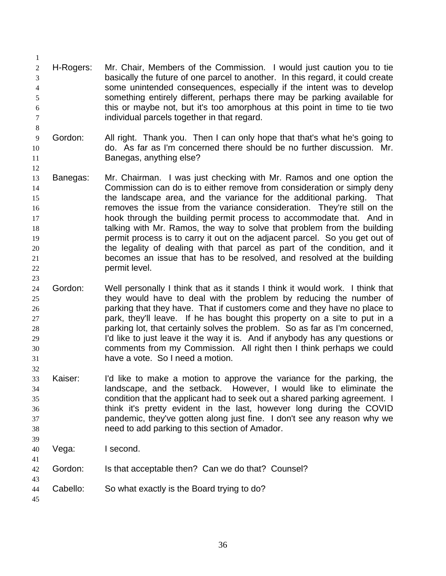- H-Rogers: Mr. Chair, Members of the Commission. I would just caution you to tie basically the future of one parcel to another. In this regard, it could create some unintended consequences, especially if the intent was to develop something entirely different, perhaps there may be parking available for this or maybe not, but it's too amorphous at this point in time to tie two individual parcels together in that regard.
- Gordon: All right. Thank you. Then I can only hope that that's what he's going to do. As far as I'm concerned there should be no further discussion. Mr. Banegas, anything else?
- Banegas: Mr. Chairman. I was just checking with Mr. Ramos and one option the Commission can do is to either remove from consideration or simply deny the landscape area, and the variance for the additional parking. That removes the issue from the variance consideration. They're still on the **hook through the building permit process to accommodate that.** And in talking with Mr. Ramos, the way to solve that problem from the building **permit process is to carry it out on the adjacent parcel. So you get out of**  the legality of dealing with that parcel as part of the condition, and it becomes an issue that has to be resolved, and resolved at the building permit level.
- Gordon: Well personally I think that as it stands I think it would work. I think that they would have to deal with the problem by reducing the number of parking that they have. That if customers come and they have no place to park, they'll leave. If he has bought this property on a site to put in a parking lot, that certainly solves the problem. So as far as I'm concerned, 29 I'd like to just leave it the way it is. And if anybody has any questions or comments from my Commission. All right then I think perhaps we could have a vote. So I need a motion.
- Kaiser: I'd like to make a motion to approve the variance for the parking, the landscape, and the setback. However, I would like to eliminate the condition that the applicant had to seek out a shared parking agreement. I think it's pretty evident in the last, however long during the COVID pandemic, they've gotten along just fine. I don't see any reason why we need to add parking to this section of Amador.
- Vega: I second.
- Gordon: Is that acceptable then? Can we do that? Counsel?
- Cabello: So what exactly is the Board trying to do?
-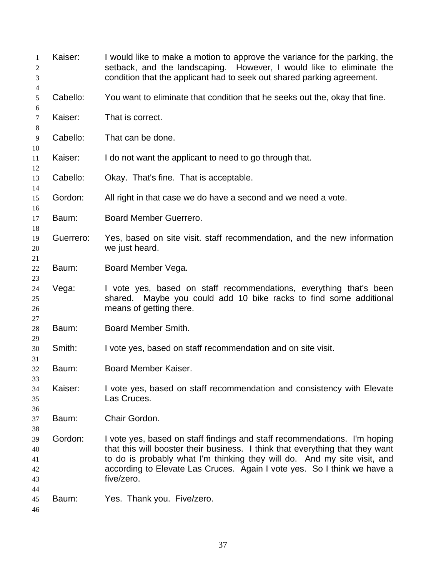| 1<br>2<br>3                      | Kaiser:   | I would like to make a motion to approve the variance for the parking, the<br>setback, and the landscaping. However, I would like to eliminate the<br>condition that the applicant had to seek out shared parking agreement.                                                                                                    |
|----------------------------------|-----------|---------------------------------------------------------------------------------------------------------------------------------------------------------------------------------------------------------------------------------------------------------------------------------------------------------------------------------|
| 4<br>5                           | Cabello:  | You want to eliminate that condition that he seeks out the, okay that fine.                                                                                                                                                                                                                                                     |
| 6<br>$\tau$<br>8                 | Kaiser:   | That is correct.                                                                                                                                                                                                                                                                                                                |
| 9<br>10                          | Cabello:  | That can be done.                                                                                                                                                                                                                                                                                                               |
| 11<br>12                         | Kaiser:   | I do not want the applicant to need to go through that.                                                                                                                                                                                                                                                                         |
| 13<br>14                         | Cabello:  | Okay. That's fine. That is acceptable.                                                                                                                                                                                                                                                                                          |
| 15<br>16                         | Gordon:   | All right in that case we do have a second and we need a vote.                                                                                                                                                                                                                                                                  |
| 17<br>18                         | Baum:     | Board Member Guerrero.                                                                                                                                                                                                                                                                                                          |
| 19<br>20<br>21                   | Guerrero: | Yes, based on site visit. staff recommendation, and the new information<br>we just heard.                                                                                                                                                                                                                                       |
| 22<br>23                         | Baum:     | Board Member Vega.                                                                                                                                                                                                                                                                                                              |
| 24<br>25<br>26<br>27             | Vega:     | I vote yes, based on staff recommendations, everything that's been<br>Maybe you could add 10 bike racks to find some additional<br>shared.<br>means of getting there.                                                                                                                                                           |
| 28<br>29                         | Baum:     | Board Member Smith.                                                                                                                                                                                                                                                                                                             |
| 30<br>31                         | Smith:    | I vote yes, based on staff recommendation and on site visit.                                                                                                                                                                                                                                                                    |
| 32<br>33                         | Baum:     | Board Member Kaiser.                                                                                                                                                                                                                                                                                                            |
| 34<br>35<br>36                   | Kaiser:   | I vote yes, based on staff recommendation and consistency with Elevate<br>Las Cruces.                                                                                                                                                                                                                                           |
| 37<br>38                         | Baum:     | Chair Gordon.                                                                                                                                                                                                                                                                                                                   |
| 39<br>40<br>41<br>42<br>43<br>44 | Gordon:   | I vote yes, based on staff findings and staff recommendations. I'm hoping<br>that this will booster their business. I think that everything that they want<br>to do is probably what I'm thinking they will do. And my site visit, and<br>according to Elevate Las Cruces. Again I vote yes. So I think we have a<br>five/zero. |
| 45<br>46                         | Baum:     | Yes. Thank you. Five/zero.                                                                                                                                                                                                                                                                                                      |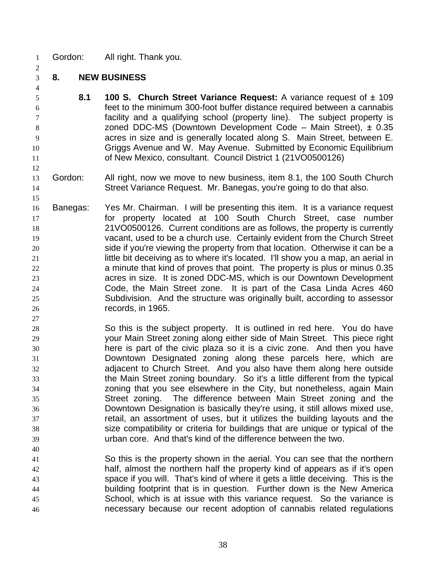- Gordon: All right. Thank you.
- **8. NEW BUSINESS**

- **8.1 100 S. Church Street Variance Request:** A variance request of ± 109 feet to the minimum 300-foot buffer distance required between a cannabis facility and a qualifying school (property line). The subject property is zoned DDC-MS (Downtown Development Code – Main Street), ± 0.35 acres in size and is generally located along S. Main Street, between E. Griggs Avenue and W. May Avenue. Submitted by Economic Equilibrium of New Mexico, consultant. Council District 1 (21VO0500126)
- Gordon: All right, now we move to new business, item 8.1, the 100 South Church Street Variance Request. Mr. Banegas, you're going to do that also.
- Banegas: Yes Mr. Chairman. I will be presenting this item. It is a variance request for property located at 100 South Church Street, case number 21VO0500126. Current conditions are as follows, the property is currently vacant, used to be a church use. Certainly evident from the Church Street side if you're viewing the property from that location. Otherwise it can be a little bit deceiving as to where it's located. I'll show you a map, an aerial in a minute that kind of proves that point. The property is plus or minus 0.35 acres in size. It is zoned DDC-MS, which is our Downtown Development Code, the Main Street zone. It is part of the Casa Linda Acres 460 Subdivision. And the structure was originally built, according to assessor records, in 1965.
- So this is the subject property. It is outlined in red here. You do have your Main Street zoning along either side of Main Street. This piece right here is part of the civic plaza so it is a civic zone. And then you have Downtown Designated zoning along these parcels here, which are adjacent to Church Street. And you also have them along here outside the Main Street zoning boundary. So it's a little different from the typical zoning that you see elsewhere in the City, but nonetheless, again Main Street zoning. The difference between Main Street zoning and the Downtown Designation is basically they're using, it still allows mixed use, retail, an assortment of uses, but it utilizes the building layouts and the size compatibility or criteria for buildings that are unique or typical of the urban core. And that's kind of the difference between the two.
- So this is the property shown in the aerial. You can see that the northern half, almost the northern half the property kind of appears as if it's open space if you will. That's kind of where it gets a little deceiving. This is the building footprint that is in question. Further down is the New America School, which is at issue with this variance request. So the variance is necessary because our recent adoption of cannabis related regulations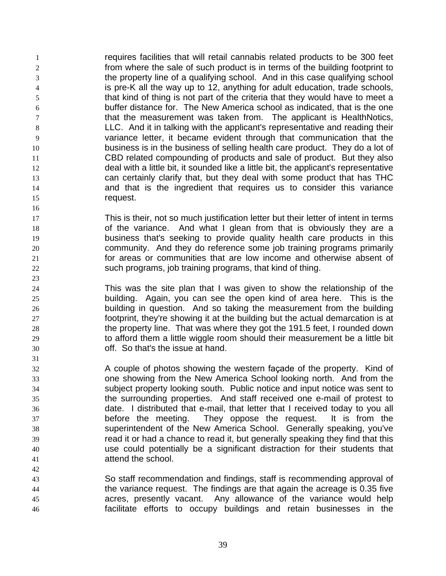requires facilities that will retail cannabis related products to be 300 feet from where the sale of such product is in terms of the building footprint to the property line of a qualifying school. And in this case qualifying school is pre-K all the way up to 12, anything for adult education, trade schools, that kind of thing is not part of the criteria that they would have to meet a buffer distance for. The New America school as indicated, that is the one that the measurement was taken from. The applicant is HealthNotics, LLC. And it in talking with the applicant's representative and reading their variance letter, it became evident through that communication that the business is in the business of selling health care product. They do a lot of CBD related compounding of products and sale of product. But they also deal with a little bit, it sounded like a little bit, the applicant's representative can certainly clarify that, but they deal with some product that has THC and that is the ingredient that requires us to consider this variance 15 request.

 This is their, not so much justification letter but their letter of intent in terms 18 of the variance. And what I glean from that is obviously they are a business that's seeking to provide quality health care products in this community. And they do reference some job training programs primarily for areas or communities that are low income and otherwise absent of such programs, job training programs, that kind of thing.

- This was the site plan that I was given to show the relationship of the building. Again, you can see the open kind of area here. This is the building in question. And so taking the measurement from the building footprint, they're showing it at the building but the actual demarcation is at the property line. That was where they got the 191.5 feet, I rounded down to afford them a little wiggle room should their measurement be a little bit off. So that's the issue at hand.
- A couple of photos showing the western façade of the property. Kind of one showing from the New America School looking north. And from the subject property looking south. Public notice and input notice was sent to the surrounding properties. And staff received one e-mail of protest to date. I distributed that e-mail, that letter that I received today to you all before the meeting. They oppose the request. It is from the superintendent of the New America School. Generally speaking, you've read it or had a chance to read it, but generally speaking they find that this use could potentially be a significant distraction for their students that attend the school.
- So staff recommendation and findings, staff is recommending approval of the variance request. The findings are that again the acreage is 0.35 five acres, presently vacant. Any allowance of the variance would help facilitate efforts to occupy buildings and retain businesses in the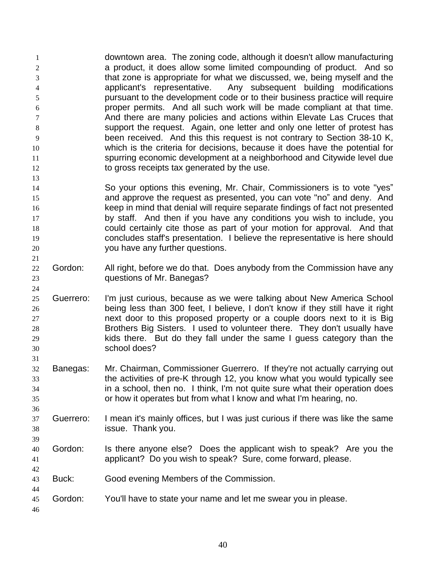downtown area. The zoning code, although it doesn't allow manufacturing a product, it does allow some limited compounding of product. And so that zone is appropriate for what we discussed, we, being myself and the applicant's representative. Any subsequent building modifications pursuant to the development code or to their business practice will require proper permits. And all such work will be made compliant at that time. And there are many policies and actions within Elevate Las Cruces that support the request. Again, one letter and only one letter of protest has been received. And this this request is not contrary to Section 38-10 K, which is the criteria for decisions, because it does have the potential for spurring economic development at a neighborhood and Citywide level due to gross receipts tax generated by the use. 

- So your options this evening, Mr. Chair, Commissioners is to vote "yes" and approve the request as presented, you can vote "no" and deny. And keep in mind that denial will require separate findings of fact not presented 17 by staff. And then if you have any conditions you wish to include, you could certainly cite those as part of your motion for approval. And that concludes staff's presentation. I believe the representative is here should you have any further questions.
- 22 Gordon: All right, before we do that. Does anybody from the Commission have any questions of Mr. Banegas?
- Guerrero: I'm just curious, because as we were talking about New America School being less than 300 feet, I believe, I don't know if they still have it right next door to this proposed property or a couple doors next to it is Big Brothers Big Sisters. I used to volunteer there. They don't usually have kids there. But do they fall under the same I guess category than the school does?
- Banegas: Mr. Chairman, Commissioner Guerrero. If they're not actually carrying out the activities of pre-K through 12, you know what you would typically see in a school, then no. I think, I'm not quite sure what their operation does or how it operates but from what I know and what I'm hearing, no.
- Guerrero: I mean it's mainly offices, but I was just curious if there was like the same issue. Thank you.
- Gordon: Is there anyone else? Does the applicant wish to speak? Are you the applicant? Do you wish to speak? Sure, come forward, please.
- Buck: Good evening Members of the Commission.
- Gordon: You'll have to state your name and let me swear you in please.
-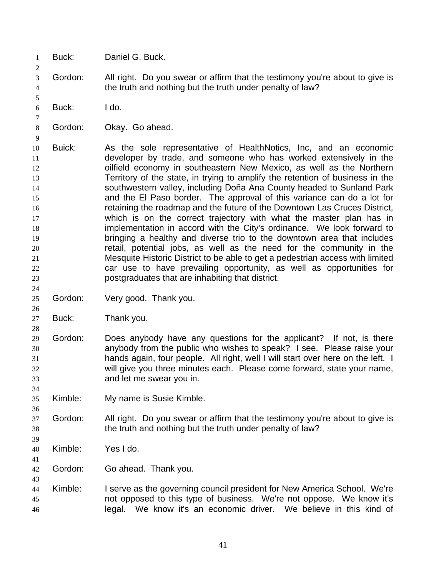- Buck: Daniel G. Buck.
- Gordon: All right. Do you swear or affirm that the testimony you're about to give is the truth and nothing but the truth under penalty of law?
- Buck: I do.

- Gordon: Okay. Go ahead.
- Buick: As the sole representative of HealthNotics, Inc, and an economic developer by trade, and someone who has worked extensively in the oilfield economy in southeastern New Mexico, as well as the Northern Territory of the state, in trying to amplify the retention of business in the southwestern valley, including Doña Ana County headed to Sunland Park and the El Paso border. The approval of this variance can do a lot for retaining the roadmap and the future of the Downtown Las Cruces District, which is on the correct trajectory with what the master plan has in implementation in accord with the City's ordinance. We look forward to bringing a healthy and diverse trio to the downtown area that includes retail, potential jobs, as well as the need for the community in the Mesquite Historic District to be able to get a pedestrian access with limited car use to have prevailing opportunity, as well as opportunities for postgraduates that are inhabiting that district.
- Gordon: Very good. Thank you.
- Buck: Thank you.
- Gordon: Does anybody have any questions for the applicant? If not, is there anybody from the public who wishes to speak? I see. Please raise your hands again, four people. All right, well I will start over here on the left. I will give you three minutes each. Please come forward, state your name, and let me swear you in.
- Kimble: My name is Susie Kimble.
- Gordon: All right. Do you swear or affirm that the testimony you're about to give is the truth and nothing but the truth under penalty of law?
- Kimble: Yes I do.
- Gordon: Go ahead. Thank you.
- Kimble: I serve as the governing council president for New America School. We're not opposed to this type of business. We're not oppose. We know it's legal. We know it's an economic driver. We believe in this kind of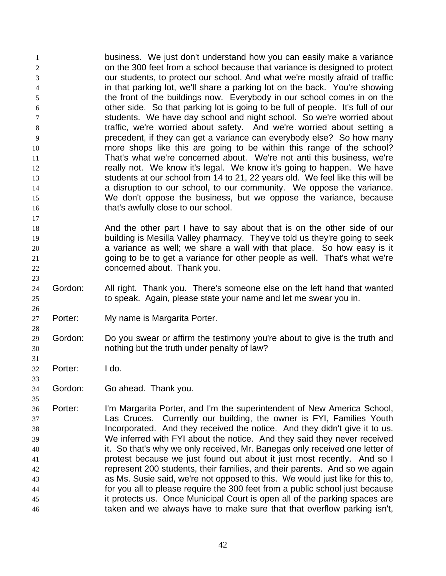business. We just don't understand how you can easily make a variance on the 300 feet from a school because that variance is designed to protect our students, to protect our school. And what we're mostly afraid of traffic in that parking lot, we'll share a parking lot on the back. You're showing the front of the buildings now. Everybody in our school comes in on the other side. So that parking lot is going to be full of people. It's full of our students. We have day school and night school. So we're worried about traffic, we're worried about safety. And we're worried about setting a precedent, if they can get a variance can everybody else? So how many more shops like this are going to be within this range of the school? That's what we're concerned about. We're not anti this business, we're **really not.** We know it's legal. We know it's going to happen. We have students at our school from 14 to 21, 22 years old. We feel like this will be **and is a disruption to our school, to our community.** We oppose the variance. We don't oppose the business, but we oppose the variance, because **that's awfully close to our school.** 

- And the other part I have to say about that is on the other side of our building is Mesilla Valley pharmacy. They've told us they're going to seek a variance as well; we share a wall with that place. So how easy is it 21 going to be to get a variance for other people as well. That's what we're concerned about. Thank you.
- Gordon: All right. Thank you. There's someone else on the left hand that wanted to speak. Again, please state your name and let me swear you in.
- Porter: My name is Margarita Porter.
- Gordon: Do you swear or affirm the testimony you're about to give is the truth and nothing but the truth under penalty of law?
- Porter: I do.

- Gordon: Go ahead. Thank you.
- Porter: I'm Margarita Porter, and I'm the superintendent of New America School, Las Cruces. Currently our building, the owner is FYI, Families Youth Incorporated. And they received the notice. And they didn't give it to us. We inferred with FYI about the notice. And they said they never received it. So that's why we only received, Mr. Banegas only received one letter of protest because we just found out about it just most recently. And so I represent 200 students, their families, and their parents. And so we again as Ms. Susie said, we're not opposed to this. We would just like for this to, for you all to please require the 300 feet from a public school just because it protects us. Once Municipal Court is open all of the parking spaces are taken and we always have to make sure that that overflow parking isn't,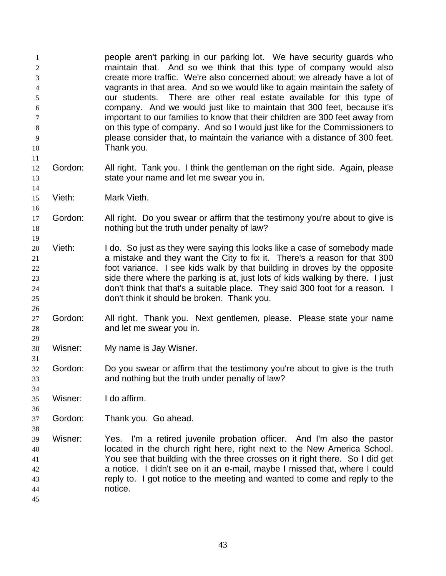people aren't parking in our parking lot. We have security guards who maintain that. And so we think that this type of company would also create more traffic. We're also concerned about; we already have a lot of vagrants in that area. And so we would like to again maintain the safety of our students. There are other real estate available for this type of company. And we would just like to maintain that 300 feet, because it's important to our families to know that their children are 300 feet away from on this type of company. And so I would just like for the Commissioners to please consider that, to maintain the variance with a distance of 300 feet. Thank you.

- Gordon: All right. Tank you. I think the gentleman on the right side. Again, please state your name and let me swear you in.
- Vieth: Mark Vieth.

- Gordon: All right. Do you swear or affirm that the testimony you're about to give is nothing but the truth under penalty of law?
- Vieth: I do. So just as they were saying this looks like a case of somebody made a mistake and they want the City to fix it. There's a reason for that 300 foot variance. I see kids walk by that building in droves by the opposite side there where the parking is at, just lots of kids walking by there. I just don't think that that's a suitable place. They said 300 foot for a reason. I don't think it should be broken. Thank you.
- Gordon: All right. Thank you. Next gentlemen, please. Please state your name and let me swear you in.
- Wisner: My name is Jay Wisner.
- Gordon: Do you swear or affirm that the testimony you're about to give is the truth and nothing but the truth under penalty of law?
- Wisner: I do affirm.
- Gordon: Thank you. Go ahead.
- Wisner: Yes. I'm a retired juvenile probation officer. And I'm also the pastor located in the church right here, right next to the New America School. You see that building with the three crosses on it right there. So I did get a notice. I didn't see on it an e-mail, maybe I missed that, where I could reply to. I got notice to the meeting and wanted to come and reply to the notice.
-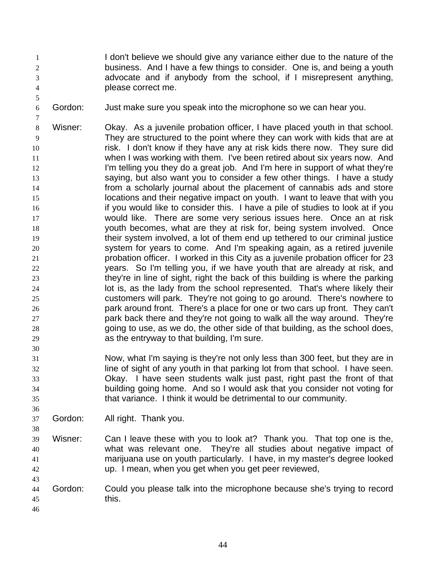- I don't believe we should give any variance either due to the nature of the business. And I have a few things to consider. One is, and being a youth advocate and if anybody from the school, if I misrepresent anything, please correct me.
- Gordon: Just make sure you speak into the microphone so we can hear you.
- Wisner: Okay. As a juvenile probation officer, I have placed youth in that school. They are structured to the point where they can work with kids that are at risk. I don't know if they have any at risk kids there now. They sure did when I was working with them. I've been retired about six years now. And 12 I'm telling you they do a great job. And I'm here in support of what they're saying, but also want you to consider a few other things. I have a study from a scholarly journal about the placement of cannabis ads and store locations and their negative impact on youth. I want to leave that with you if you would like to consider this. I have a pile of studies to look at if you would like. There are some very serious issues here. Once an at risk youth becomes, what are they at risk for, being system involved. Once their system involved, a lot of them end up tethered to our criminal justice system for years to come. And I'm speaking again, as a retired juvenile probation officer. I worked in this City as a juvenile probation officer for 23 years. So I'm telling you, if we have youth that are already at risk, and they're in line of sight, right the back of this building is where the parking lot is, as the lady from the school represented. That's where likely their customers will park. They're not going to go around. There's nowhere to park around front. There's a place for one or two cars up front. They can't park back there and they're not going to walk all the way around. They're going to use, as we do, the other side of that building, as the school does, as the entryway to that building, I'm sure.
- Now, what I'm saying is they're not only less than 300 feet, but they are in line of sight of any youth in that parking lot from that school. I have seen. Okay. I have seen students walk just past, right past the front of that building going home. And so I would ask that you consider not voting for that variance. I think it would be detrimental to our community.
- Gordon: All right. Thank you.
- Wisner: Can I leave these with you to look at? Thank you. That top one is the, what was relevant one. They're all studies about negative impact of marijuana use on youth particularly. I have, in my master's degree looked up. I mean, when you get when you get peer reviewed,
- Gordon: Could you please talk into the microphone because she's trying to record this.
-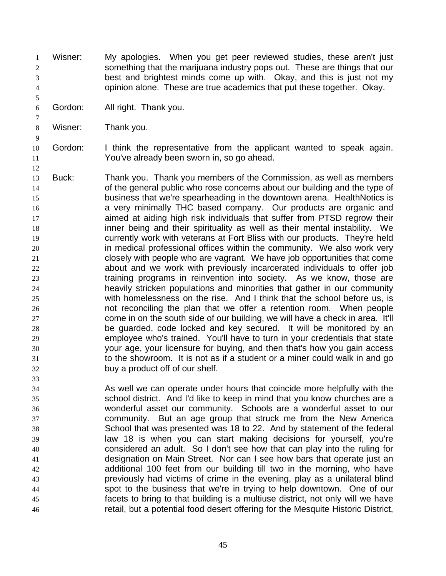- Wisner: My apologies. When you get peer reviewed studies, these aren't just something that the marijuana industry pops out. These are things that our best and brightest minds come up with. Okay, and this is just not my opinion alone. These are true academics that put these together. Okay.
- Gordon: All right. Thank you.
- Wisner: Thank you.

- Gordon: I think the representative from the applicant wanted to speak again. You've already been sworn in, so go ahead.
- Buck: Thank you. Thank you members of the Commission, as well as members of the general public who rose concerns about our building and the type of business that we're spearheading in the downtown arena. HealthNotics is a very minimally THC based company. Our products are organic and aimed at aiding high risk individuals that suffer from PTSD regrow their inner being and their spirituality as well as their mental instability. We currently work with veterans at Fort Bliss with our products. They're held in medical professional offices within the community. We also work very closely with people who are vagrant. We have job opportunities that come about and we work with previously incarcerated individuals to offer job training programs in reinvention into society. As we know, those are heavily stricken populations and minorities that gather in our community with homelessness on the rise. And I think that the school before us, is not reconciling the plan that we offer a retention room. When people come in on the south side of our building, we will have a check in area. It'll be guarded, code locked and key secured. It will be monitored by an employee who's trained. You'll have to turn in your credentials that state your age, your licensure for buying, and then that's how you gain access to the showroom. It is not as if a student or a miner could walk in and go buy a product off of our shelf.
- As well we can operate under hours that coincide more helpfully with the school district. And I'd like to keep in mind that you know churches are a wonderful asset our community. Schools are a wonderful asset to our community. But an age group that struck me from the New America School that was presented was 18 to 22. And by statement of the federal law 18 is when you can start making decisions for yourself, you're considered an adult. So I don't see how that can play into the ruling for designation on Main Street. Nor can I see how bars that operate just an additional 100 feet from our building till two in the morning, who have previously had victims of crime in the evening, play as a unilateral blind spot to the business that we're in trying to help downtown. One of our facets to bring to that building is a multiuse district, not only will we have retail, but a potential food desert offering for the Mesquite Historic District,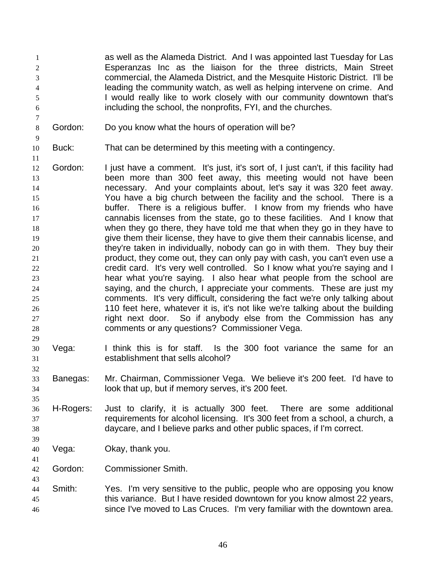as well as the Alameda District. And I was appointed last Tuesday for Las Esperanzas Inc as the liaison for the three districts, Main Street commercial, the Alameda District, and the Mesquite Historic District. I'll be leading the community watch, as well as helping intervene on crime. And I would really like to work closely with our community downtown that's including the school, the nonprofits, FYI, and the churches.

- Gordon: Do you know what the hours of operation will be?
- 

Buck: That can be determined by this meeting with a contingency.

- Gordon: I just have a comment. It's just, it's sort of, I just can't, if this facility had been more than 300 feet away, this meeting would not have been necessary. And your complaints about, let's say it was 320 feet away. You have a big church between the facility and the school. There is a buffer. There is a religious buffer. I know from my friends who have cannabis licenses from the state, go to these facilities. And I know that when they go there, they have told me that when they go in they have to give them their license, they have to give them their cannabis license, and they're taken in individually, nobody can go in with them. They buy their product, they come out, they can only pay with cash, you can't even use a credit card. It's very well controlled. So I know what you're saying and I hear what you're saying. I also hear what people from the school are saying, and the church, I appreciate your comments. These are just my comments. It's very difficult, considering the fact we're only talking about 110 feet here, whatever it is, it's not like we're talking about the building right next door. So if anybody else from the Commission has any comments or any questions? Commissioner Vega.
- Vega: I think this is for staff. Is the 300 foot variance the same for an establishment that sells alcohol?
- Banegas: Mr. Chairman, Commissioner Vega. We believe it's 200 feet. I'd have to look that up, but if memory serves, it's 200 feet.
- H-Rogers: Just to clarify, it is actually 300 feet. There are some additional requirements for alcohol licensing. It's 300 feet from a school, a church, a daycare, and I believe parks and other public spaces, if I'm correct.
- Vega: Okay, thank you.
- Gordon: Commissioner Smith.
- Smith: Yes. I'm very sensitive to the public, people who are opposing you know this variance. But I have resided downtown for you know almost 22 years, since I've moved to Las Cruces. I'm very familiar with the downtown area.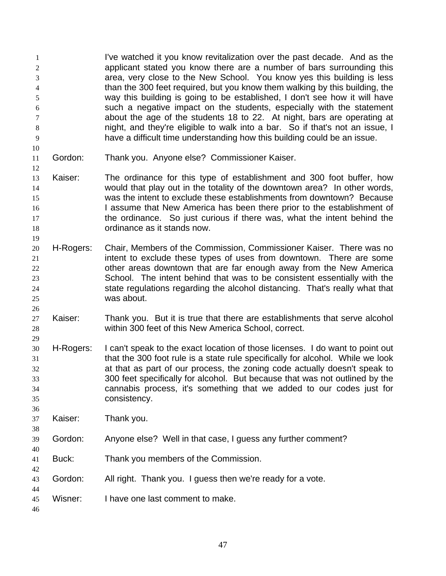I've watched it you know revitalization over the past decade. And as the applicant stated you know there are a number of bars surrounding this area, very close to the New School. You know yes this building is less than the 300 feet required, but you know them walking by this building, the way this building is going to be established, I don't see how it will have such a negative impact on the students, especially with the statement about the age of the students 18 to 22. At night, bars are operating at night, and they're eligible to walk into a bar. So if that's not an issue, I have a difficult time understanding how this building could be an issue.

- Gordon: Thank you. Anyone else? Commissioner Kaiser.
- Kaiser: The ordinance for this type of establishment and 300 foot buffer, how would that play out in the totality of the downtown area? In other words, was the intent to exclude these establishments from downtown? Because 16 16 I assume that New America has been there prior to the establishment of the ordinance. So just curious if there was, what the intent behind the ordinance as it stands now.
- H-Rogers: Chair, Members of the Commission, Commissioner Kaiser. There was no intent to exclude these types of uses from downtown. There are some 22 other areas downtown that are far enough away from the New America School. The intent behind that was to be consistent essentially with the state regulations regarding the alcohol distancing. That's really what that was about.
- Kaiser: Thank you. But it is true that there are establishments that serve alcohol within 300 feet of this New America School, correct.
- H-Rogers: I can't speak to the exact location of those licenses. I do want to point out that the 300 foot rule is a state rule specifically for alcohol. While we look at that as part of our process, the zoning code actually doesn't speak to 300 feet specifically for alcohol. But because that was not outlined by the cannabis process, it's something that we added to our codes just for consistency.
- Kaiser: Thank you.
- Gordon: Anyone else? Well in that case, I guess any further comment?
- Buck: Thank you members of the Commission.
- Gordon: All right. Thank you. I guess then we're ready for a vote.
- Wisner: I have one last comment to make.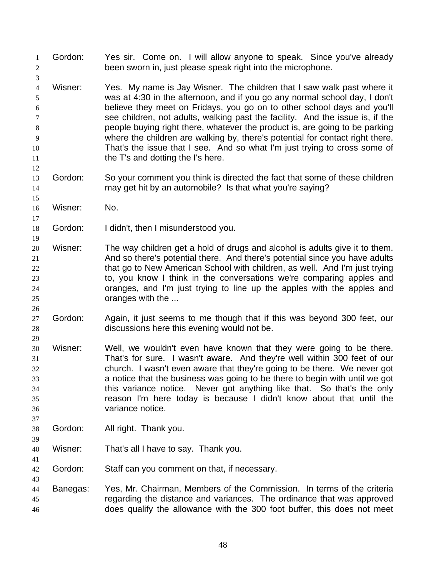Gordon: Yes sir. Come on. I will allow anyone to speak. Since you've already been sworn in, just please speak right into the microphone. Wisner: Yes. My name is Jay Wisner. The children that I saw walk past where it was at 4:30 in the afternoon, and if you go any normal school day, I don't believe they meet on Fridays, you go on to other school days and you'll see children, not adults, walking past the facility. And the issue is, if the people buying right there, whatever the product is, are going to be parking where the children are walking by, there's potential for contact right there. That's the issue that I see. And so what I'm just trying to cross some of **the T's and dotting the I's here.**  Gordon: So your comment you think is directed the fact that some of these children may get hit by an automobile? Is that what you're saying? Wisner: No. Gordon: I didn't, then I misunderstood you. Wisner: The way children get a hold of drugs and alcohol is adults give it to them. And so there's potential there. And there's potential since you have adults that go to New American School with children, as well. And I'm just trying to, you know I think in the conversations we're comparing apples and oranges, and I'm just trying to line up the apples with the apples and oranges with the ... Gordon: Again, it just seems to me though that if this was beyond 300 feet, our discussions here this evening would not be. Wisner: Well, we wouldn't even have known that they were going to be there. That's for sure. I wasn't aware. And they're well within 300 feet of our church. I wasn't even aware that they're going to be there. We never got a notice that the business was going to be there to begin with until we got this variance notice. Never got anything like that. So that's the only reason I'm here today is because I didn't know about that until the variance notice. Gordon: All right. Thank you. Wisner: That's all I have to say. Thank you. Gordon: Staff can you comment on that, if necessary. Banegas: Yes, Mr. Chairman, Members of the Commission. In terms of the criteria regarding the distance and variances. The ordinance that was approved does qualify the allowance with the 300 foot buffer, this does not meet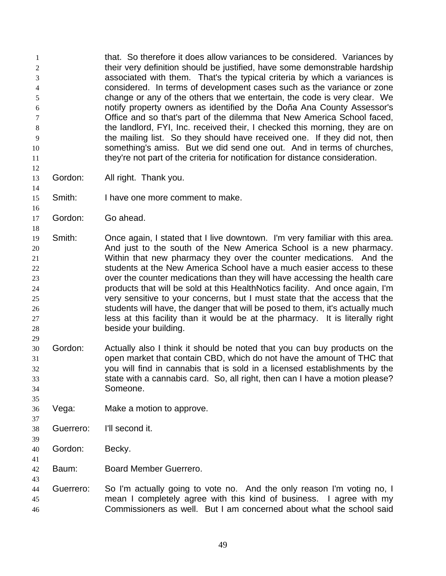that. So therefore it does allow variances to be considered. Variances by 2 their very definition should be justified, have some demonstrable hardship associated with them. That's the typical criteria by which a variances is considered. In terms of development cases such as the variance or zone change or any of the others that we entertain, the code is very clear. We notify property owners as identified by the Doña Ana County Assessor's Office and so that's part of the dilemma that New America School faced, the landlord, FYI, Inc. received their, I checked this morning, they are on the mailing list. So they should have received one. If they did not, then something's amiss. But we did send one out. And in terms of churches, 11 they're not part of the criteria for notification for distance consideration. 

- Gordon: All right. Thank you.
- Smith: I have one more comment to make.
- Gordon: Go ahead.

 Smith: Once again, I stated that I live downtown. I'm very familiar with this area. And just to the south of the New America School is a new pharmacy. Within that new pharmacy they over the counter medications. And the students at the New America School have a much easier access to these over the counter medications than they will have accessing the health care products that will be sold at this HealthNotics facility. And once again, I'm very sensitive to your concerns, but I must state that the access that the students will have, the danger that will be posed to them, it's actually much less at this facility than it would be at the pharmacy. It is literally right beside your building.

- Gordon: Actually also I think it should be noted that you can buy products on the open market that contain CBD, which do not have the amount of THC that you will find in cannabis that is sold in a licensed establishments by the state with a cannabis card. So, all right, then can I have a motion please? Someone.
- Vega: Make a motion to approve.
- Guerrero: I'll second it.
- Gordon: Becky.
- Baum: Board Member Guerrero.
- Guerrero: So I'm actually going to vote no. And the only reason I'm voting no, I mean I completely agree with this kind of business. I agree with my Commissioners as well. But I am concerned about what the school said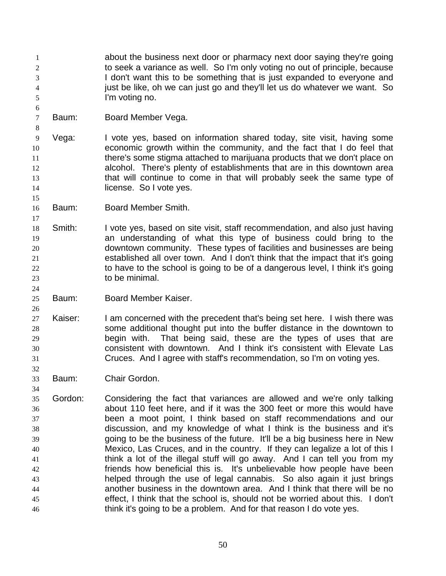about the business next door or pharmacy next door saying they're going to seek a variance as well. So I'm only voting no out of principle, because I don't want this to be something that is just expanded to everyone and 4 just be like, oh we can just go and they'll let us do whatever we want. So I'm voting no.

Baum: Board Member Vega.

 Vega: I vote yes, based on information shared today, site visit, having some economic growth within the community, and the fact that I do feel that 11 there's some stigma attached to marijuana products that we don't place on alcohol. There's plenty of establishments that are in this downtown area that will continue to come in that will probably seek the same type of **license.** So I vote yes.

Baum: Board Member Smith.

 Smith: I vote yes, based on site visit, staff recommendation, and also just having an understanding of what this type of business could bring to the downtown community. These types of facilities and businesses are being established all over town. And I don't think that the impact that it's going to have to the school is going to be of a dangerous level, I think it's going to be minimal.

Baum: Board Member Kaiser.

 Kaiser: I am concerned with the precedent that's being set here. I wish there was some additional thought put into the buffer distance in the downtown to begin with. That being said, these are the types of uses that are consistent with downtown. And I think it's consistent with Elevate Las Cruces. And I agree with staff's recommendation, so I'm on voting yes.

Baum: Chair Gordon.

 Gordon: Considering the fact that variances are allowed and we're only talking about 110 feet here, and if it was the 300 feet or more this would have been a moot point, I think based on staff recommendations and our discussion, and my knowledge of what I think is the business and it's going to be the business of the future. It'll be a big business here in New Mexico, Las Cruces, and in the country. If they can legalize a lot of this I think a lot of the illegal stuff will go away. And I can tell you from my friends how beneficial this is. It's unbelievable how people have been helped through the use of legal cannabis. So also again it just brings another business in the downtown area. And I think that there will be no effect, I think that the school is, should not be worried about this. I don't think it's going to be a problem. And for that reason I do vote yes.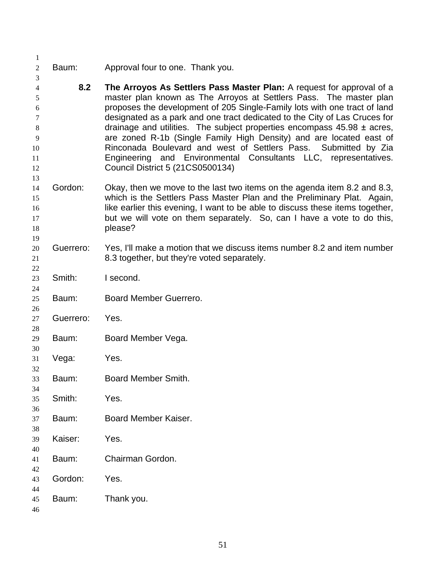Baum: Approval four to one. Thank you. **8.2 The Arroyos As Settlers Pass Master Plan:** A request for approval of a master plan known as The Arroyos at Settlers Pass. The master plan proposes the development of 205 Single-Family lots with one tract of land designated as a park and one tract dedicated to the City of Las Cruces for drainage and utilities. The subject properties encompass 45.98 ± acres, are zoned R-1b (Single Family High Density) and are located east of Rinconada Boulevard and west of Settlers Pass. Submitted by Zia Engineering and Environmental Consultants LLC, representatives. Council District 5 (21CS0500134) Gordon: Okay, then we move to the last two items on the agenda item 8.2 and 8.3, which is the Settlers Pass Master Plan and the Preliminary Plat. Again, 16 like earlier this evening, I want to be able to discuss these items together, 17 but we will vote on them separately. So, can I have a vote to do this, **please?**  Guerrero: Yes, I'll make a motion that we discuss items number 8.2 and item number 8.3 together, but they're voted separately. Smith: I second. Baum: Board Member Guerrero. Guerrero: Yes. Baum: Board Member Vega. Vega: Yes. Baum: Board Member Smith. Smith: Yes. Baum: Board Member Kaiser. Kaiser: Yes. Baum: Chairman Gordon. Gordon: Yes. Baum: Thank you.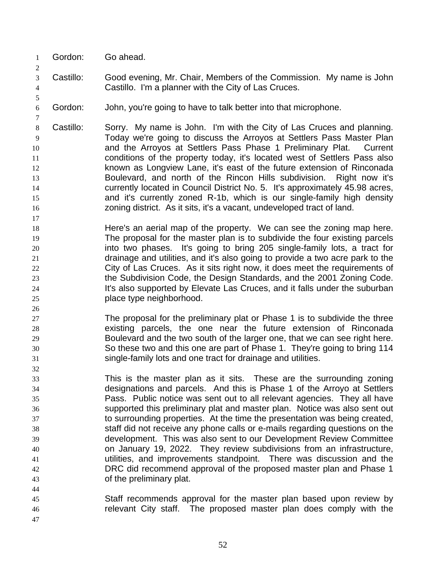Gordon: Go ahead.

- Castillo: Good evening, Mr. Chair, Members of the Commission. My name is John Castillo. I'm a planner with the City of Las Cruces.
- Gordon: John, you're going to have to talk better into that microphone.
- Castillo: Sorry. My name is John. I'm with the City of Las Cruces and planning. Today we're going to discuss the Arroyos at Settlers Pass Master Plan and the Arroyos at Settlers Pass Phase 1 Preliminary Plat. Current conditions of the property today, it's located west of Settlers Pass also **known as Longview Lane, it's east of the future extension of Rinconada**  Boulevard, and north of the Rincon Hills subdivision. Right now it's currently located in Council District No. 5. It's approximately 45.98 acres, and it's currently zoned R-1b, which is our single-family high density zoning district. As it sits, it's a vacant, undeveloped tract of land.
- Here's an aerial map of the property. We can see the zoning map here. The proposal for the master plan is to subdivide the four existing parcels into two phases. It's going to bring 205 single-family lots, a tract for drainage and utilities, and it's also going to provide a two acre park to the City of Las Cruces. As it sits right now, it does meet the requirements of the Subdivision Code, the Design Standards, and the 2001 Zoning Code. It's also supported by Elevate Las Cruces, and it falls under the suburban place type neighborhood.
- The proposal for the preliminary plat or Phase 1 is to subdivide the three existing parcels, the one near the future extension of Rinconada Boulevard and the two south of the larger one, that we can see right here. So these two and this one are part of Phase 1. They're going to bring 114 single-family lots and one tract for drainage and utilities.
- This is the master plan as it sits. These are the surrounding zoning designations and parcels. And this is Phase 1 of the Arroyo at Settlers Pass. Public notice was sent out to all relevant agencies. They all have supported this preliminary plat and master plan. Notice was also sent out to surrounding properties. At the time the presentation was being created, staff did not receive any phone calls or e-mails regarding questions on the development. This was also sent to our Development Review Committee on January 19, 2022. They review subdivisions from an infrastructure, utilities, and improvements standpoint. There was discussion and the DRC did recommend approval of the proposed master plan and Phase 1 of the preliminary plat.
- Staff recommends approval for the master plan based upon review by relevant City staff. The proposed master plan does comply with the
	-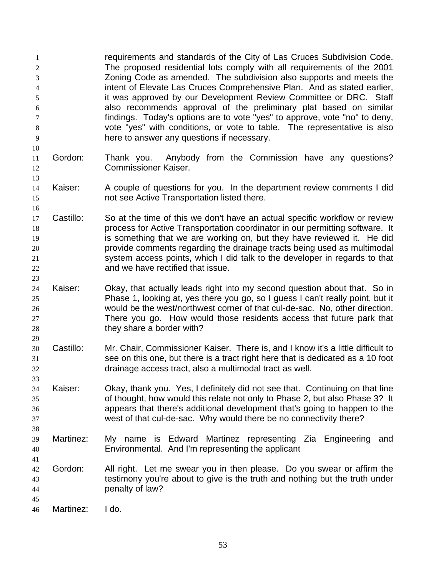requirements and standards of the City of Las Cruces Subdivision Code. The proposed residential lots comply with all requirements of the 2001 Zoning Code as amended. The subdivision also supports and meets the intent of Elevate Las Cruces Comprehensive Plan. And as stated earlier, it was approved by our Development Review Committee or DRC. Staff also recommends approval of the preliminary plat based on similar findings. Today's options are to vote "yes" to approve, vote "no" to deny, vote "yes" with conditions, or vote to table. The representative is also here to answer any questions if necessary.

- Gordon: Thank you. Anybody from the Commission have any questions? Commissioner Kaiser.
- Kaiser: A couple of questions for you. In the department review comments I did not see Active Transportation listed there.
- Castillo: So at the time of this we don't have an actual specific workflow or review process for Active Transportation coordinator in our permitting software. It is something that we are working on, but they have reviewed it. He did provide comments regarding the drainage tracts being used as multimodal system access points, which I did talk to the developer in regards to that and we have rectified that issue.
- Kaiser: Okay, that actually leads right into my second question about that. So in Phase 1, looking at, yes there you go, so I guess I can't really point, but it would be the west/northwest corner of that cul-de-sac. No, other direction. There you go. How would those residents access that future park that 28 they share a border with?
- Castillo: Mr. Chair, Commissioner Kaiser. There is, and I know it's a little difficult to see on this one, but there is a tract right here that is dedicated as a 10 foot drainage access tract, also a multimodal tract as well.
- Kaiser: Okay, thank you. Yes, I definitely did not see that. Continuing on that line of thought, how would this relate not only to Phase 2, but also Phase 3? It appears that there's additional development that's going to happen to the west of that cul-de-sac. Why would there be no connectivity there?
- Martinez: My name is Edward Martinez representing Zia Engineering and Environmental. And I'm representing the applicant
- Gordon: All right. Let me swear you in then please. Do you swear or affirm the testimony you're about to give is the truth and nothing but the truth under penalty of law?
- Martinez: I do.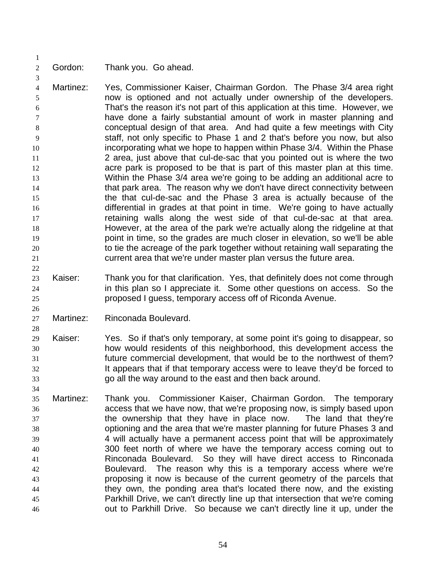Gordon: Thank you. Go ahead.

 Martinez: Yes, Commissioner Kaiser, Chairman Gordon. The Phase 3/4 area right now is optioned and not actually under ownership of the developers. That's the reason it's not part of this application at this time. However, we have done a fairly substantial amount of work in master planning and conceptual design of that area. And had quite a few meetings with City staff, not only specific to Phase 1 and 2 that's before you now, but also incorporating what we hope to happen within Phase 3/4. Within the Phase 2 area, just above that cul-de-sac that you pointed out is where the two 12 acre park is proposed to be that is part of this master plan at this time. Within the Phase 3/4 area we're going to be adding an additional acre to 14 that park area. The reason why we don't have direct connectivity between the that cul-de-sac and the Phase 3 area is actually because of the differential in grades at that point in time. We're going to have actually retaining walls along the west side of that cul-de-sac at that area. However, at the area of the park we're actually along the ridgeline at that point in time, so the grades are much closer in elevation, so we'll be able 20 to tie the acreage of the park together without retaining wall separating the current area that we're under master plan versus the future area.

- 23 Kaiser: Thank you for that clarification. Yes, that definitely does not come through in this plan so I appreciate it. Some other questions on access. So the proposed I guess, temporary access off of Riconda Avenue.
- Martinez: Rinconada Boulevard.
- Kaiser: Yes. So if that's only temporary, at some point it's going to disappear, so how would residents of this neighborhood, this development access the future commercial development, that would be to the northwest of them? It appears that if that temporary access were to leave they'd be forced to go all the way around to the east and then back around.
- Martinez: Thank you. Commissioner Kaiser, Chairman Gordon. The temporary access that we have now, that we're proposing now, is simply based upon the ownership that they have in place now. The land that they're optioning and the area that we're master planning for future Phases 3 and 4 will actually have a permanent access point that will be approximately 300 feet north of where we have the temporary access coming out to Rinconada Boulevard. So they will have direct access to Rinconada Boulevard. The reason why this is a temporary access where we're proposing it now is because of the current geometry of the parcels that they own, the ponding area that's located there now, and the existing Parkhill Drive, we can't directly line up that intersection that we're coming out to Parkhill Drive. So because we can't directly line it up, under the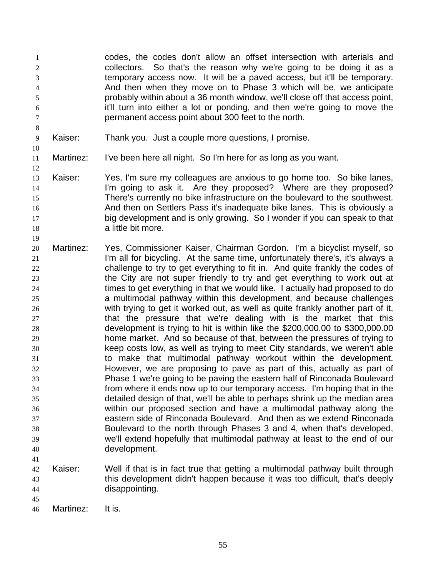codes, the codes don't allow an offset intersection with arterials and collectors. So that's the reason why we're going to be doing it as a temporary access now. It will be a paved access, but it'll be temporary. And then when they move on to Phase 3 which will be, we anticipate probably within about a 36 month window, we'll close off that access point, it'll turn into either a lot or ponding, and then we're going to move the permanent access point about 300 feet to the north.

- Kaiser: Thank you. Just a couple more questions, I promise.
- Martinez: I've been here all night. So I'm here for as long as you want.
- Kaiser: Yes, I'm sure my colleagues are anxious to go home too. So bike lanes, I'm going to ask it. Are they proposed? Where are they proposed? There's currently no bike infrastructure on the boulevard to the southwest. And then on Settlers Pass it's inadequate bike lanes. This is obviously a big development and is only growing. So I wonder if you can speak to that **a little bit more.**
- Martinez: Yes, Commissioner Kaiser, Chairman Gordon. I'm a bicyclist myself, so **I'm all for bicycling.** At the same time, unfortunately there's, it's always a challenge to try to get everything to fit in. And quite frankly the codes of the City are not super friendly to try and get everything to work out at times to get everything in that we would like. I actually had proposed to do a multimodal pathway within this development, and because challenges with trying to get it worked out, as well as quite frankly another part of it, that the pressure that we're dealing with is the market that this development is trying to hit is within like the \$200,000.00 to \$300,000.00 home market. And so because of that, between the pressures of trying to keep costs low, as well as trying to meet City standards, we weren't able to make that multimodal pathway workout within the development. However, we are proposing to pave as part of this, actually as part of Phase 1 we're going to be paving the eastern half of Rinconada Boulevard from where it ends now up to our temporary access. I'm hoping that in the detailed design of that, we'll be able to perhaps shrink up the median area within our proposed section and have a multimodal pathway along the eastern side of Rinconada Boulevard. And then as we extend Rinconada Boulevard to the north through Phases 3 and 4, when that's developed, we'll extend hopefully that multimodal pathway at least to the end of our development.
- Kaiser: Well if that is in fact true that getting a multimodal pathway built through this development didn't happen because it was too difficult, that's deeply disappointing.
- 

Martinez: It is.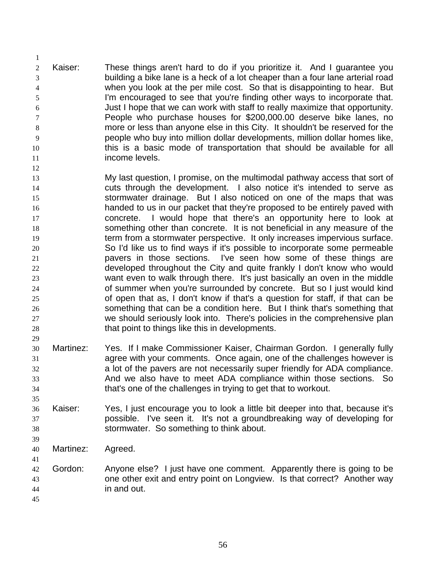Kaiser: These things aren't hard to do if you prioritize it. And I guarantee you building a bike lane is a heck of a lot cheaper than a four lane arterial road when you look at the per mile cost. So that is disappointing to hear. But I'm encouraged to see that you're finding other ways to incorporate that. Just I hope that we can work with staff to really maximize that opportunity. People who purchase houses for \$200,000.00 deserve bike lanes, no more or less than anyone else in this City. It shouldn't be reserved for the people who buy into million dollar developments, million dollar homes like, this is a basic mode of transportation that should be available for all **income levels** 

 My last question, I promise, on the multimodal pathway access that sort of cuts through the development. I also notice it's intended to serve as stormwater drainage. But I also noticed on one of the maps that was handed to us in our packet that they're proposed to be entirely paved with concrete. I would hope that there's an opportunity here to look at something other than concrete. It is not beneficial in any measure of the term from a stormwater perspective. It only increases impervious surface. So I'd like us to find ways if it's possible to incorporate some permeable pavers in those sections. I've seen how some of these things are developed throughout the City and quite frankly I don't know who would want even to walk through there. It's just basically an oven in the middle of summer when you're surrounded by concrete. But so I just would kind of open that as, I don't know if that's a question for staff, if that can be something that can be a condition here. But I think that's something that we should seriously look into. There's policies in the comprehensive plan 28 that point to things like this in developments.

- Martinez: Yes. If I make Commissioner Kaiser, Chairman Gordon. I generally fully agree with your comments. Once again, one of the challenges however is a lot of the pavers are not necessarily super friendly for ADA compliance. And we also have to meet ADA compliance within those sections. So that's one of the challenges in trying to get that to workout.
- Kaiser: Yes, I just encourage you to look a little bit deeper into that, because it's possible. I've seen it. It's not a groundbreaking way of developing for stormwater. So something to think about.
- Martinez: Agreed.
- 42 Gordon: Anyone else? I just have one comment. Apparently there is going to be one other exit and entry point on Longview. Is that correct? Another way in and out.
-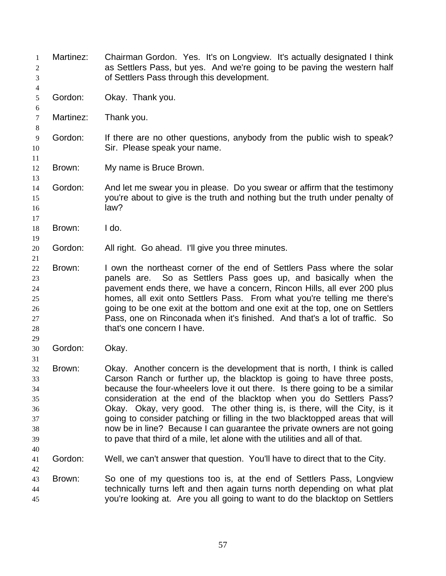| 1<br>2<br>3                                        | Martinez: | Chairman Gordon. Yes. It's on Longview. It's actually designated I think<br>as Settlers Pass, but yes. And we're going to be paving the western half<br>of Settlers Pass through this development.                                                                                                                                                                                                                                                                                                                                                                                                                                |
|----------------------------------------------------|-----------|-----------------------------------------------------------------------------------------------------------------------------------------------------------------------------------------------------------------------------------------------------------------------------------------------------------------------------------------------------------------------------------------------------------------------------------------------------------------------------------------------------------------------------------------------------------------------------------------------------------------------------------|
| 4<br>5<br>6                                        | Gordon:   | Okay. Thank you.                                                                                                                                                                                                                                                                                                                                                                                                                                                                                                                                                                                                                  |
| 7<br>8                                             | Martinez: | Thank you.                                                                                                                                                                                                                                                                                                                                                                                                                                                                                                                                                                                                                        |
| $\overline{9}$<br>10                               | Gordon:   | If there are no other questions, anybody from the public wish to speak?<br>Sir. Please speak your name.                                                                                                                                                                                                                                                                                                                                                                                                                                                                                                                           |
| 11<br>12<br>13                                     | Brown:    | My name is Bruce Brown.                                                                                                                                                                                                                                                                                                                                                                                                                                                                                                                                                                                                           |
| 14<br>15<br>16<br>17                               | Gordon:   | And let me swear you in please. Do you swear or affirm that the testimony<br>you're about to give is the truth and nothing but the truth under penalty of<br>law?                                                                                                                                                                                                                                                                                                                                                                                                                                                                 |
| 18<br>19                                           | Brown:    | I do.                                                                                                                                                                                                                                                                                                                                                                                                                                                                                                                                                                                                                             |
| 20<br>21                                           | Gordon:   | All right. Go ahead. I'll give you three minutes.                                                                                                                                                                                                                                                                                                                                                                                                                                                                                                                                                                                 |
| $22\,$<br>23<br>24<br>25<br>26<br>27<br>28<br>29   | Brown:    | I own the northeast corner of the end of Settlers Pass where the solar<br>So as Settlers Pass goes up, and basically when the<br>panels are.<br>pavement ends there, we have a concern, Rincon Hills, all ever 200 plus<br>homes, all exit onto Settlers Pass. From what you're telling me there's<br>going to be one exit at the bottom and one exit at the top, one on Settlers<br>Pass, one on Rinconada when it's finished. And that's a lot of traffic. So<br>that's one concern I have.                                                                                                                                     |
| 30<br>31                                           | Gordon:   | Okay.                                                                                                                                                                                                                                                                                                                                                                                                                                                                                                                                                                                                                             |
| 32<br>33<br>34<br>35<br>36<br>37<br>38<br>39<br>40 | Brown:    | Okay. Another concern is the development that is north, I think is called<br>Carson Ranch or further up, the blacktop is going to have three posts,<br>because the four-wheelers love it out there. Is there going to be a similar<br>consideration at the end of the blacktop when you do Settlers Pass?<br>Okay. Okay, very good. The other thing is, is there, will the City, is it<br>going to consider patching or filling in the two blacktopped areas that will<br>now be in line? Because I can guarantee the private owners are not going<br>to pave that third of a mile, let alone with the utilities and all of that. |
| 41<br>42                                           | Gordon:   | Well, we can't answer that question. You'll have to direct that to the City.                                                                                                                                                                                                                                                                                                                                                                                                                                                                                                                                                      |
| 43<br>44<br>45                                     | Brown:    | So one of my questions too is, at the end of Settlers Pass, Longview<br>technically turns left and then again turns north depending on what plat<br>you're looking at. Are you all going to want to do the blacktop on Settlers                                                                                                                                                                                                                                                                                                                                                                                                   |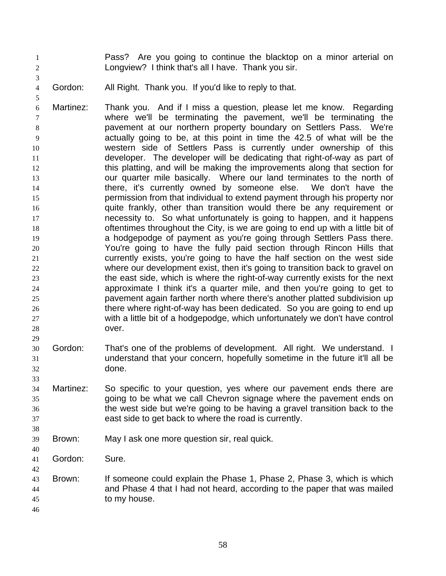- Pass? Are you going to continue the blacktop on a minor arterial on Longview? I think that's all I have. Thank you sir.
- Gordon: All Right. Thank you. If you'd like to reply to that.

- Martinez: Thank you. And if I miss a question, please let me know. Regarding where we'll be terminating the pavement, we'll be terminating the pavement at our northern property boundary on Settlers Pass. We're actually going to be, at this point in time the 42.5 of what will be the western side of Settlers Pass is currently under ownership of this developer. The developer will be dedicating that right-of-way as part of 12 this platting, and will be making the improvements along that section for our quarter mile basically. Where our land terminates to the north of there, it's currently owned by someone else. We don't have the permission from that individual to extend payment through his property nor quite frankly, other than transition would there be any requirement or necessity to. So what unfortunately is going to happen, and it happens oftentimes throughout the City, is we are going to end up with a little bit of a hodgepodge of payment as you're going through Settlers Pass there. You're going to have the fully paid section through Rincon Hills that currently exists, you're going to have the half section on the west side where our development exist, then it's going to transition back to gravel on the east side, which is where the right-of-way currently exists for the next approximate I think it's a quarter mile, and then you're going to get to pavement again farther north where there's another platted subdivision up there where right-of-way has been dedicated. So you are going to end up with a little bit of a hodgepodge, which unfortunately we don't have control over.
- Gordon: That's one of the problems of development. All right. We understand. I understand that your concern, hopefully sometime in the future it'll all be done.
- Martinez: So specific to your question, yes where our pavement ends there are going to be what we call Chevron signage where the pavement ends on the west side but we're going to be having a gravel transition back to the east side to get back to where the road is currently.
- Brown: May I ask one more question sir, real quick.
- Gordon: Sure.
- Brown: If someone could explain the Phase 1, Phase 2, Phase 3, which is which and Phase 4 that I had not heard, according to the paper that was mailed to my house.
	-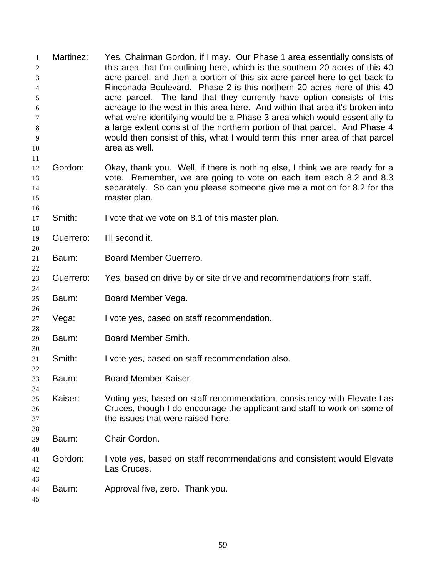| 1<br>2<br>3<br>4<br>5<br>6<br>7<br>8<br>9<br>10 | Martinez: | Yes, Chairman Gordon, if I may. Our Phase 1 area essentially consists of<br>this area that I'm outlining here, which is the southern 20 acres of this 40<br>acre parcel, and then a portion of this six acre parcel here to get back to<br>Rinconada Boulevard. Phase 2 is this northern 20 acres here of this 40<br>acre parcel. The land that they currently have option consists of this<br>acreage to the west in this area here. And within that area it's broken into<br>what we're identifying would be a Phase 3 area which would essentially to<br>a large extent consist of the northern portion of that parcel. And Phase 4<br>would then consist of this, what I would term this inner area of that parcel<br>area as well. |
|-------------------------------------------------|-----------|-----------------------------------------------------------------------------------------------------------------------------------------------------------------------------------------------------------------------------------------------------------------------------------------------------------------------------------------------------------------------------------------------------------------------------------------------------------------------------------------------------------------------------------------------------------------------------------------------------------------------------------------------------------------------------------------------------------------------------------------|
| 11<br>12<br>13<br>14<br>15<br>16                | Gordon:   | Okay, thank you. Well, if there is nothing else, I think we are ready for a<br>vote. Remember, we are going to vote on each item each 8.2 and 8.3<br>separately. So can you please someone give me a motion for 8.2 for the<br>master plan.                                                                                                                                                                                                                                                                                                                                                                                                                                                                                             |
| 17<br>18                                        | Smith:    | I vote that we vote on 8.1 of this master plan.                                                                                                                                                                                                                                                                                                                                                                                                                                                                                                                                                                                                                                                                                         |
| 19<br>20                                        | Guerrero: | I'll second it.                                                                                                                                                                                                                                                                                                                                                                                                                                                                                                                                                                                                                                                                                                                         |
| 21<br>22                                        | Baum:     | Board Member Guerrero.                                                                                                                                                                                                                                                                                                                                                                                                                                                                                                                                                                                                                                                                                                                  |
| 23<br>24                                        | Guerrero: | Yes, based on drive by or site drive and recommendations from staff.                                                                                                                                                                                                                                                                                                                                                                                                                                                                                                                                                                                                                                                                    |
| 25<br>26                                        | Baum:     | Board Member Vega.                                                                                                                                                                                                                                                                                                                                                                                                                                                                                                                                                                                                                                                                                                                      |
| 27<br>28                                        | Vega:     | I vote yes, based on staff recommendation.                                                                                                                                                                                                                                                                                                                                                                                                                                                                                                                                                                                                                                                                                              |
| 29<br>30                                        | Baum:     | Board Member Smith.                                                                                                                                                                                                                                                                                                                                                                                                                                                                                                                                                                                                                                                                                                                     |
| 31<br>32                                        | Smith:    | I vote yes, based on staff recommendation also.                                                                                                                                                                                                                                                                                                                                                                                                                                                                                                                                                                                                                                                                                         |
| 33<br>34                                        | Baum:     | Board Member Kaiser.                                                                                                                                                                                                                                                                                                                                                                                                                                                                                                                                                                                                                                                                                                                    |
| 35<br>36<br>37<br>38                            | Kaiser:   | Voting yes, based on staff recommendation, consistency with Elevate Las<br>Cruces, though I do encourage the applicant and staff to work on some of<br>the issues that were raised here.                                                                                                                                                                                                                                                                                                                                                                                                                                                                                                                                                |
| 39<br>40                                        | Baum:     | Chair Gordon.                                                                                                                                                                                                                                                                                                                                                                                                                                                                                                                                                                                                                                                                                                                           |
| 41<br>42<br>43                                  | Gordon:   | I vote yes, based on staff recommendations and consistent would Elevate<br>Las Cruces.                                                                                                                                                                                                                                                                                                                                                                                                                                                                                                                                                                                                                                                  |
| 44<br>45                                        | Baum:     | Approval five, zero. Thank you.                                                                                                                                                                                                                                                                                                                                                                                                                                                                                                                                                                                                                                                                                                         |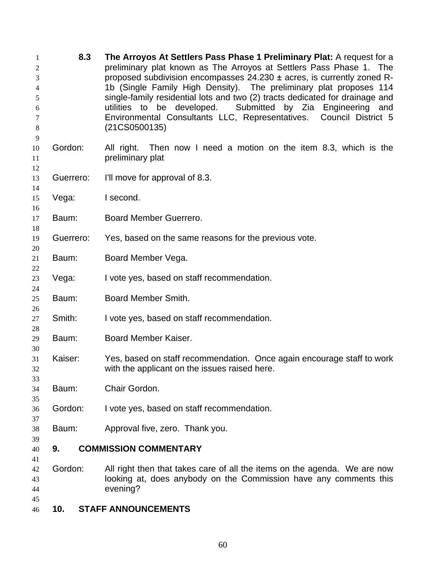| 1<br>2<br>3<br>4<br>5<br>6<br>7<br>$\,8\,$ | 8.3       | The Arroyos At Settlers Pass Phase 1 Preliminary Plat: A request for a<br>preliminary plat known as The Arroyos at Settlers Pass Phase 1. The<br>proposed subdivision encompasses 24.230 ± acres, is currently zoned R-<br>1b (Single Family High Density). The preliminary plat proposes 114<br>single-family residential lots and two (2) tracts dedicated for drainage and<br>utilities to be developed. Submitted by Zia Engineering and<br>Environmental Consultants LLC, Representatives. Council District 5<br>(21C S0500135) |
|--------------------------------------------|-----------|--------------------------------------------------------------------------------------------------------------------------------------------------------------------------------------------------------------------------------------------------------------------------------------------------------------------------------------------------------------------------------------------------------------------------------------------------------------------------------------------------------------------------------------|
| 9<br>10<br>11                              | Gordon:   | Then now I need a motion on the item 8.3, which is the<br>All right.<br>preliminary plat                                                                                                                                                                                                                                                                                                                                                                                                                                             |
| 12<br>13<br>14                             | Guerrero: | I'll move for approval of 8.3.                                                                                                                                                                                                                                                                                                                                                                                                                                                                                                       |
| 15<br>16                                   | Vega:     | I second.                                                                                                                                                                                                                                                                                                                                                                                                                                                                                                                            |
| 17<br>18                                   | Baum:     | Board Member Guerrero.                                                                                                                                                                                                                                                                                                                                                                                                                                                                                                               |
| 19<br>20                                   | Guerrero: | Yes, based on the same reasons for the previous vote.                                                                                                                                                                                                                                                                                                                                                                                                                                                                                |
| 21<br>22                                   | Baum:     | Board Member Vega.                                                                                                                                                                                                                                                                                                                                                                                                                                                                                                                   |
| 23<br>24                                   | Vega:     | I vote yes, based on staff recommendation.                                                                                                                                                                                                                                                                                                                                                                                                                                                                                           |
| 25<br>26                                   | Baum:     | Board Member Smith.                                                                                                                                                                                                                                                                                                                                                                                                                                                                                                                  |
| 27<br>28                                   | Smith:    | I vote yes, based on staff recommendation.                                                                                                                                                                                                                                                                                                                                                                                                                                                                                           |
| 29<br>30                                   | Baum:     | Board Member Kaiser.                                                                                                                                                                                                                                                                                                                                                                                                                                                                                                                 |
| 31<br>32<br>33                             | Kaiser:   | Yes, based on staff recommendation. Once again encourage staff to work<br>with the applicant on the issues raised here.                                                                                                                                                                                                                                                                                                                                                                                                              |
| 34<br>35                                   | Baum:     | Chair Gordon.                                                                                                                                                                                                                                                                                                                                                                                                                                                                                                                        |
| 36<br>37                                   | Gordon:   | I vote yes, based on staff recommendation.                                                                                                                                                                                                                                                                                                                                                                                                                                                                                           |
| 38<br>39                                   | Baum:     | Approval five, zero. Thank you.                                                                                                                                                                                                                                                                                                                                                                                                                                                                                                      |
| 40                                         | 9.        | <b>COMMISSION COMMENTARY</b>                                                                                                                                                                                                                                                                                                                                                                                                                                                                                                         |
| 41<br>42<br>43<br>44<br>45                 | Gordon:   | All right then that takes care of all the items on the agenda. We are now<br>looking at, does anybody on the Commission have any comments this<br>evening?                                                                                                                                                                                                                                                                                                                                                                           |

**10. STAFF ANNOUNCEMENTS**